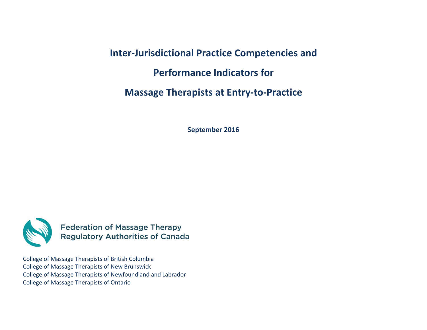**Inter‐Jurisdictional Practice Competencies and Performance Indicators for Massage Therapists at Entry‐to‐Practice**

**September 2016**



**Federation of Massage Therapy<br>Regulatory Authorities of Canada** 

College of Massage Therapists of British Columbia College of Massage Therapists of New Brunswick College of Massage Therapists of Newfoundland and Labrador College of Massage Therapists of Ontario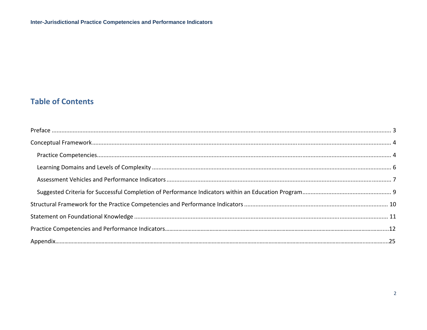# **Table of Contents**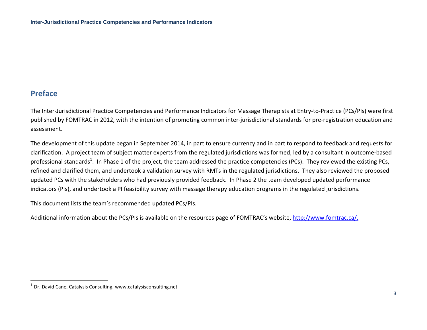## **Preface**

The Inter‐Jurisdictional Practice Competencies and Performance Indicators for Massage Therapists at Entry‐to‐Practice (PCs/PIs) were first published by FOMTRAC in 2012, with the intention of promoting common inter-jurisdictional standards for pre-registration education and assessment.

The development of this update began in September 2014, in part to ensure currency and in part to respond to feedback and requests for clarification. A project team of subject matter experts from the regulated jurisdictions was formed, led by <sup>a</sup> consultant in outcome‐based professional standards<sup>1</sup>. In Phase 1 of the project, the team addressed the practice competencies (PCs). They reviewed the existing PCs, refined and clarified them, and undertook <sup>a</sup> validation survey with RMTs in the regulated jurisdictions. They also reviewed the proposed updated PCs with the stakeholders who had previously provided feedback. In Phase 2 the team developed updated performance indicators (PIs), and undertook <sup>a</sup> PI feasibility survey with massage therapy education programs in the regulated jurisdictions.

This document lists the team's recommended updated PCs/PIs.

Additional information about the PCs/PIs is available on the resources page of FOMTRAC's website, <u>http://www.fomtrac.ca/.</u>

 $<sup>1</sup>$  Dr. David Cane, Catalysis Consulting; www.catalysisconsulting.net</sup>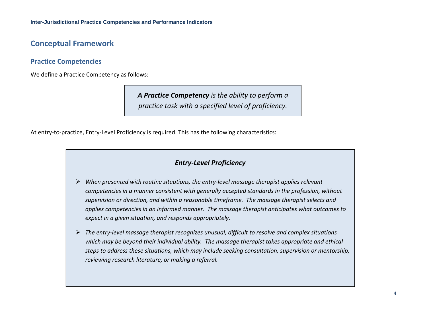## **Conceptual Framework**

### **Practice Competencies**

We define <sup>a</sup> Practice Competency as follows:

*A Practice Competency is the ability to perform a practice task with a specified level of proficiency.*

At entry‐to‐practice, Entry‐Level Proficiency is required. This has the following characteristics:

### *Entry‐Level Proficiency*

- *When presented with routine situations, the entry‐level massage therapist applies relevant competencies in a manner consistent with generally accepted standards in the profession, without supervision or direction, and within a reasonable timeframe. The massage therapist selects and applies competencies in an informed manner. The massage therapist anticipates what outcomes to expect in a given situation, and responds appropriately.*
- *The entry‐level massage therapist recognizes unusual, difficult to resolve and complex situations which may be beyond their individual ability. The massage therapist takes appropriate and ethical steps to address these situations, which may include seeking consultation, supervision or mentorship, reviewing research literature, or making a referral.*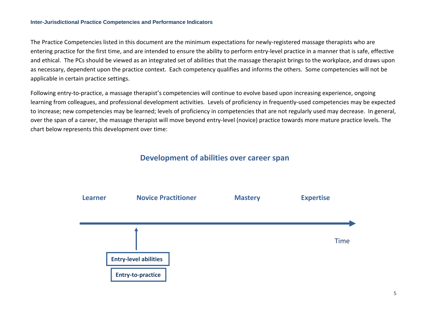#### **Inter-Jurisdictional Practice Competencies and Performance Indicators**

The Practice Competencies listed in this document are the minimum expectations for newly‐registered massage therapists who are entering practice for the first time, and are intended to ensure the ability to perform entry‐level practice in <sup>a</sup> manner that is safe, effective and ethical. The PCs should be viewed as an integrated set of abilities that the massage therapist brings to the workplace, and draws upon as necessary, dependent upon the practice context. Each competency qualifies and informs the others. Some competencies will not be applicable in certain practice settings.

Following entry‐to‐practice, <sup>a</sup> massage therapist's competencies will continue to evolve based upon increasing experience, ongoing learning from colleagues, and professional development activities. Levels of proficiency in frequently‐used competencies may be expected to increase; new competencies may be learned; levels of proficiency in competencies that are not regularly used may decrease. In general, over the span of <sup>a</sup> career, the massage therapist will move beyond entry‐level (novice) practice towards more mature practice levels. The chart below represents this development over time:

### **Development of abilities over career span**

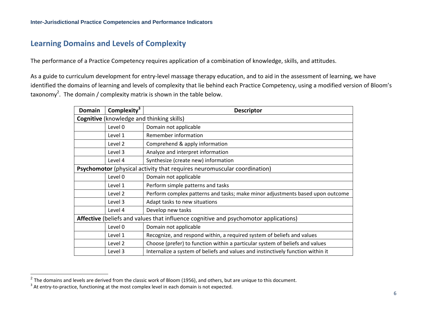## **Learning Domains and Levels of Complexity**

The performance of <sup>a</sup> Practice Competency requires application of <sup>a</sup> combination of knowledge, skills, and attitudes.

As a guide to curriculum development for entry‐level massage therapy education, and to aid in the assessment of learning, we have identified the domains of learning and levels of complexity that lie behind each Practice Competency, using <sup>a</sup> modified version of Bloom's taxonomy<sup>2</sup>. The domain / complexity matrix is shown in the table below.

| <b>Domain</b> | Complexity $3$ | <b>Descriptor</b>                                                                    |
|---------------|----------------|--------------------------------------------------------------------------------------|
|               |                | <b>Cognitive</b> (knowledge and thinking skills)                                     |
|               | Level 0        | Domain not applicable                                                                |
|               | Level 1        | Remember information                                                                 |
|               | Level 2        | Comprehend & apply information                                                       |
|               | Level 3        | Analyze and interpret information                                                    |
|               | Level 4        | Synthesize (create new) information                                                  |
|               |                | Psychomotor (physical activity that requires neuromuscular coordination)             |
|               | Level 0        | Domain not applicable                                                                |
|               | Level 1        | Perform simple patterns and tasks                                                    |
|               | Level 2        | Perform complex patterns and tasks; make minor adjustments based upon outcome        |
|               | Level 3        | Adapt tasks to new situations                                                        |
|               | Level 4        | Develop new tasks                                                                    |
|               |                | Affective (beliefs and values that influence cognitive and psychomotor applications) |
|               | Level 0        | Domain not applicable                                                                |
|               | Level 1        | Recognize, and respond within, a required system of beliefs and values               |
|               | Level 2        | Choose (prefer) to function within a particular system of beliefs and values         |
|               | Level 3        | Internalize a system of beliefs and values and instinctively function within it      |

 $^2$  The domains and levels are derived from the classic work of Bloom (1956), and others, but are unique to this document.

 $3$  At entry-to-practice, functioning at the most complex level in each domain is not expected.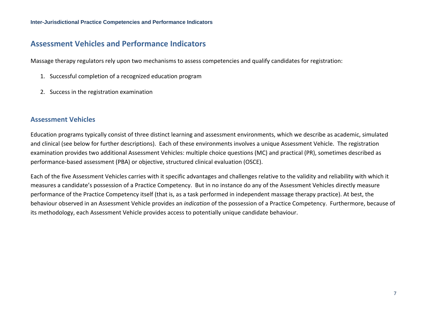## **Assessment Vehicles and Performance Indicators**

Massage therapy regulators rely upon two mechanisms to assess competencies and qualify candidates for registration:

- 1. Successful completion of <sup>a</sup> recognized education program
- 2. Success in the registration examination

#### **Assessment Vehicles**

Education programs typically consist of three distinct learning and assessment environments, which we describe as academic, simulated and clinical (see below for further descriptions). Each of these environments involves <sup>a</sup> unique Assessment Vehicle. The registration examination provides two additional Assessment Vehicles: multiple choice questions (MC) and practical (PR), sometimes described as performance‐based assessment (PBA) or objective, structured clinical evaluation (OSCE).

Each of the five Assessment Vehicles carries with it specific advantages and challenges relative to the validity and reliability with which it measures a candidate's possession of <sup>a</sup> Practice Competency. But in no instance do any of the Assessment Vehicles directly measure performance of the Practice Competency itself (that is, as <sup>a</sup> task performed in independent massage therapy practice). At best, the behaviour observed in an Assessment Vehicle provides an *indication* of the possession of <sup>a</sup> Practice Competency. Furthermore, because of its methodology, each Assessment Vehicle provides access to potentially unique candidate behaviour.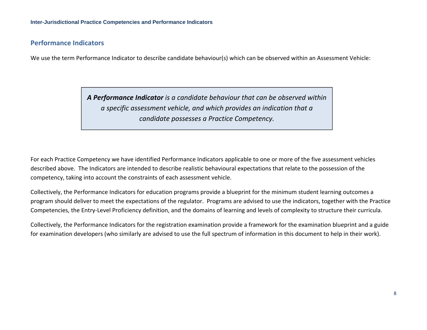#### **Performance Indicators**

We use the term Performance Indicator to describe candidate behaviour(s) which can be observed within an Assessment Vehicle:

*A Performance Indicator is a candidate behaviour that can be observed within a specific assessment vehicle, and which provides an indication that acandidate possesses a Practice Competency.*

For each Practice Competency we have identified Performance Indicators applicable to one or more of the five assessment vehicles described above. The Indicators are intended to describe realistic behavioural expectations that relate to the possession of the competency, taking into account the constraints of each assessment vehicle.

Collectively, the Performance Indicators for education programs provide <sup>a</sup> blueprint for the minimum student learning outcomes <sup>a</sup> program should deliver to meet the expectations of the regulator. Programs are advised to use the indicators, together with the Practice Competencies, the Entry‐Level Proficiency definition, and the domains of learning and levels of complexity to structure their curricula.

Collectively, the Performance Indicators for the registration examination provide <sup>a</sup> framework for the examination blueprint and <sup>a</sup> guide for examination developers (who similarly are advised to use the full spectrum of information in this document to help in their work).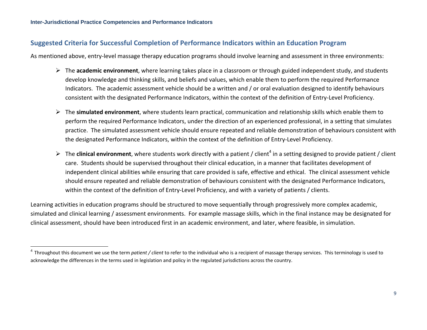### **Suggested Criteria for Successful Completion of Performance Indicators within an Education Program**

As mentioned above, entry‐level massage therapy education programs should involve learning and assessment in three environments:

- The **academic environment**, where learning takes place in <sup>a</sup> classroom or through guided independent study, and students develop knowledge and thinking skills, and beliefs and values, which enable them to perform the required Performance Indicators. The academic assessment vehicle should be <sup>a</sup> written and / or oral evaluation designed to identify behaviours consistent with the designated Performance Indicators, within the context of the definition of Entry‐Level Proficiency.
- The **simulated environment**, where students learn practical, communication and relationship skills which enable them to perform the required Performance Indicators, under the direction of an experienced professional, in <sup>a</sup> setting that simulates practice. The simulated assessment vehicle should ensure repeated and reliable demonstration of behaviours consistent with the designated Performance Indicators, within the context of the definition of Entry‐Level Proficiency.
- ▶ The **clinical environment**, where students work directly with a patient / client<sup>4</sup> in a setting designed to provide patient / client care. Students should be supervised throughout their clinical education, in <sup>a</sup> manner that facilitates development of independent clinical abilities while ensuring that care provided is safe, effective and ethical. The clinical assessment vehicle should ensure repeated and reliable demonstration of behaviours consistent with the designated Performance Indicators, within the context of the definition of Entry‐Level Proficiency, and with <sup>a</sup> variety of patients / clients.

Learning activities in education programs should be structured to move sequentially through progressively more complex academic, simulated and clinical learning / assessment environments. For example massage skills, which in the final instance may be designated for clinical assessment, should have been introduced first in an academic environment, and later, where feasible, in simulation.

<sup>&</sup>lt;sup>4</sup> Throughout this document we use the term *patient / client* to refer to the individual who is a recipient of massage therapy services. This terminology is used to acknowledge the differences in the terms used in legislation and policy in the regulated jurisdictions across the country.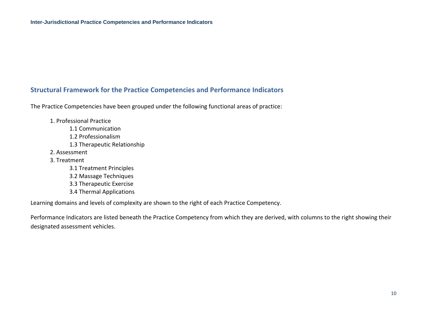### **Structural Framework for the Practice Competencies and Performance Indicators**

The Practice Competencies have been grouped under the following functional areas of practice:

- 1. Professional Practice
	- 1.1 Communication
	- 1.2 Professionalism
	- 1.3 Therapeutic Relationship
- 2. Assessment
- 3. Treatment
	- 3.1 Treatment Principles
	- 3.2 Massage Techniques
	- 3.3 Therapeutic Exercise
	- 3.4 Thermal Applications

Learning domains and levels of complexity are shown to the right of each Practice Competency.

Performance Indicators are listed beneath the Practice Competency from which they are derived, with columns to the right showing their designated assessment vehicles.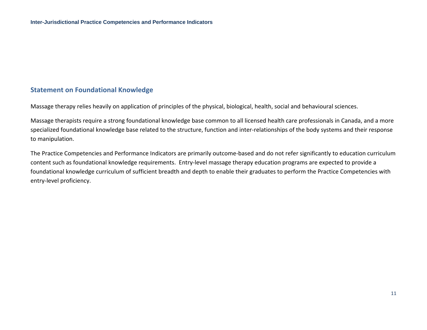### **Statement on Foundational Knowledge**

Massage therapy relies heavily on application of principles of the physical, biological, health, social and behavioural sciences.

Massage therapists require <sup>a</sup> strong foundational knowledge base common to all licensed health care professionals in Canada, and <sup>a</sup> more specialized foundational knowledge base related to the structure, function and inter‐relationships of the body systems and their response to manipulation.

The Practice Competencies and Performance Indicators are primarily outcome‐based and do not refer significantly to education curriculum content such as foundational knowledge requirements. Entry‐level massage therapy education programs are expected to provide <sup>a</sup> foundational knowledge curriculum of sufficient breadth and depth to enable their graduates to perform the Practice Competencies with entry‐level proficiency.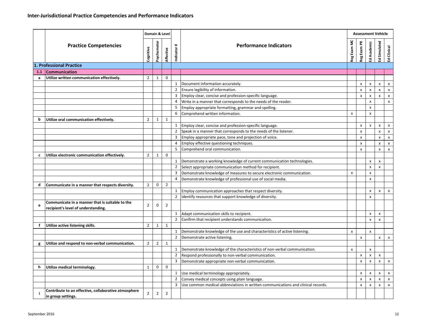|     |                                                                                        |                | Domain & Level |                |                |                                                                                  |                           |                | <b>Assessment Vehicle</b> |                |                           |
|-----|----------------------------------------------------------------------------------------|----------------|----------------|----------------|----------------|----------------------------------------------------------------------------------|---------------------------|----------------|---------------------------|----------------|---------------------------|
|     | <b>Practice Competencies</b>                                                           | Cognitive      | Psychomotor    | Affective      | #<br>Indicator | <b>Performance Indicators</b>                                                    | Reg Exam MC               | Reg Exam PR    | Ed Academic               | Ed Simulated   | Clinical<br>$\bar{x}$     |
|     | 1. Professional Practice                                                               |                |                |                |                |                                                                                  |                           |                |                           |                |                           |
| 1.1 | <b>Communication</b>                                                                   |                |                |                |                |                                                                                  |                           |                |                           |                |                           |
| a   | Utilize written communication effectively.                                             | $\overline{2}$ | $\mathbf{1}$   | $\mathbf 0$    |                |                                                                                  |                           |                |                           |                |                           |
|     |                                                                                        |                |                |                | 1              | Document information accurately.                                                 |                           | x              | X                         | X              | x                         |
|     |                                                                                        |                |                |                | $\overline{2}$ | Ensure legibility of information.                                                |                           | $\pmb{\times}$ | $\pmb{\mathsf{x}}$        | X              | X                         |
|     |                                                                                        |                |                |                | 3              | Employ clear, concise and profession-specific language.                          |                           | x              | X                         | x              | $\pmb{\times}$            |
|     |                                                                                        |                |                |                | $\overline{4}$ | Write in a manner that corresponds to the needs of the reader.                   |                           |                | $\pmb{\mathsf{x}}$        |                | X                         |
|     |                                                                                        |                |                |                | 5              | Employ appropriate formatting, grammar and spelling.                             |                           |                | $\boldsymbol{\mathsf{x}}$ |                |                           |
|     |                                                                                        |                |                |                | 6              | Comprehend written information.                                                  | X                         |                | $\pmb{\mathsf{x}}$        |                |                           |
| b   | Utilize oral communication effectively.                                                | $\overline{2}$ | 1              | $\mathbf{1}$   |                |                                                                                  |                           |                |                           |                |                           |
|     |                                                                                        |                |                |                | $\mathbf{1}$   | Employ clear, concise and profession-specific language.                          |                           | x              | X                         | x              | х                         |
|     |                                                                                        |                |                |                | $\overline{2}$ | Speak in a manner that corresponds to the needs of the listener.                 |                           | x              |                           | X              | X                         |
|     |                                                                                        |                |                |                | 3              | Employ appropriate pace, tone and projection of voice.                           |                           | x              |                           | X              | X                         |
|     |                                                                                        |                |                |                | $\overline{4}$ | Employ effective questioning techniques.                                         |                           | x              |                           | x              | X                         |
|     |                                                                                        |                |                |                | 5              | Comprehend oral communication.                                                   |                           | x              |                           | x              | X                         |
| c   | Utilize electronic communication effectively.                                          | $\overline{2}$ | $\mathbf{1}$   | $\mathbf 0$    |                |                                                                                  |                           |                |                           |                |                           |
|     |                                                                                        |                |                |                | 1              | Demonstrate a working knowledge of current communication technologies.           |                           |                | $\mathsf{x}$              | x              |                           |
|     |                                                                                        |                |                |                | $\mathbf 2$    | Select appropriate communication method for recipient.                           |                           |                | X                         | x              |                           |
|     |                                                                                        |                |                |                | 3              | Demonstrate knowledge of measures to secure electronic communication.            | $\boldsymbol{\mathsf{x}}$ |                | $\pmb{\times}$            |                |                           |
|     |                                                                                        |                |                |                | 4              | Demonstrate knowledge of professional use of social media.                       |                           |                | $\mathsf{x}$              |                |                           |
| d   | Communicate in a manner that respects diversity.                                       | $\overline{2}$ | 0              | $\overline{2}$ |                |                                                                                  |                           |                |                           |                |                           |
|     |                                                                                        |                |                |                | 1              | Employ communication approaches that respect diversity.                          |                           |                | x                         | x              | x                         |
|     |                                                                                        |                |                |                | $\overline{2}$ | Identify resources that support knowledge of diversity.                          |                           |                | $\pmb{\times}$            |                |                           |
| e   | Communicate in a manner that is suitable to the<br>recipient's level of understanding. | $\overline{2}$ | 0              | $\overline{2}$ |                |                                                                                  |                           |                |                           |                |                           |
|     |                                                                                        |                |                |                | 1              | Adapt communication skills to recipient.                                         |                           |                | х                         | x              |                           |
|     |                                                                                        |                |                |                | $\overline{2}$ | Confirm that recipient understands communication.                                |                           |                | X                         | $\pmb{\times}$ |                           |
| f   | Utilize active listening skills.                                                       | $\overline{2}$ | $\mathbf{1}$   | $\mathbf{1}$   |                |                                                                                  |                           |                |                           |                |                           |
|     |                                                                                        |                |                |                | $\mathbf{1}$   | Demonstrate knowledge of the use and characteristics of active listening.        | $\pmb{\times}$            |                | $\pmb{\mathsf{x}}$        |                |                           |
|     |                                                                                        |                |                |                | $\overline{2}$ | Demonstrate active listening.                                                    |                           | $\pmb{\times}$ |                           | X              | $\boldsymbol{\mathsf{x}}$ |
| g   | Utilize and respond to non-verbal communication.                                       | $\overline{2}$ | $\overline{2}$ | $\mathbf{1}$   |                |                                                                                  |                           |                |                           |                |                           |
|     |                                                                                        |                |                |                | $1\,$          | Demonstrate knowledge of the characteristics of non-verbal communication.        | $\boldsymbol{\mathsf{x}}$ |                | X                         |                |                           |
|     |                                                                                        |                |                |                | $\overline{2}$ | Respond professionally to non-verbal communication.                              |                           | X              | X                         | X              |                           |
|     |                                                                                        |                |                |                | 3              | Demonstrate appropriate non-verbal communication.                                |                           | X              | $\pmb{\times}$            | x              | X                         |
| h   | Utilize medical terminology.                                                           | $\mathbf{1}$   | 0              | 0              |                |                                                                                  |                           |                |                           |                |                           |
|     |                                                                                        |                |                |                | 1              | Use medical terminology appropriately.                                           |                           | x              | x                         | X              | x                         |
|     |                                                                                        |                |                |                | $\overline{2}$ | Convey medical concepts using plain language.                                    |                           | x              | $\pmb{\mathsf{x}}$        | X              | $\boldsymbol{\mathsf{x}}$ |
|     |                                                                                        |                |                |                | 3              | Use common medical abbreviations in written communications and clinical records. |                           | x              | X                         | x              | $\boldsymbol{\mathsf{x}}$ |
|     | Contribute to an effective, collaborative atmosphere<br>in group settings.             | $\overline{2}$ | $\overline{2}$ | $\overline{2}$ |                |                                                                                  |                           |                |                           |                |                           |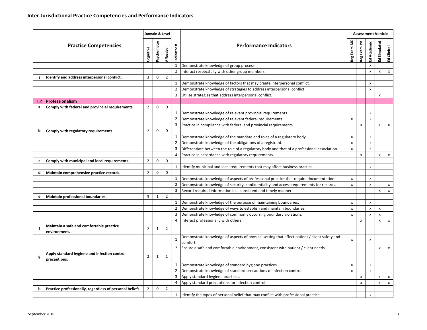|                  |                                                              |                | Domain & Level |                |                        |                                                                                                                                                                                  |             |                | <b>Assessment Vehicle</b> |                |                           |
|------------------|--------------------------------------------------------------|----------------|----------------|----------------|------------------------|----------------------------------------------------------------------------------------------------------------------------------------------------------------------------------|-------------|----------------|---------------------------|----------------|---------------------------|
|                  | <b>Practice Competencies</b>                                 | Cognitive      | Psychomotor    | Affective      | $\ddot{}$<br>Indicator | <b>Performance Indicators</b>                                                                                                                                                    | Reg Exam MC | Reg Exam PR    | Ed Academic               | Ed Simulated   | Clinical<br>ヱ             |
|                  |                                                              |                |                |                | $\mathbf{1}$           | Demonstrate knowledge of group process.                                                                                                                                          |             |                | $\boldsymbol{\mathsf{x}}$ |                |                           |
|                  |                                                              |                |                |                | $\overline{2}$         | Interact respectfully with other group members.                                                                                                                                  |             |                | X                         | x              | X                         |
|                  | Identify and address interpersonal conflict.                 | 3              | 0              | $\overline{2}$ |                        |                                                                                                                                                                                  |             |                |                           |                |                           |
|                  |                                                              |                |                |                | 1                      | Demonstrate knowledge of factors that may create interpersonal conflict.                                                                                                         |             |                | X                         |                |                           |
|                  |                                                              |                |                |                | $\overline{2}$         | Demonstrate knowledge of strategies to address interpersonal conflict.                                                                                                           |             |                | X                         |                |                           |
|                  |                                                              |                |                |                | 3                      | Utilize strategies that address interpersonal conflict.                                                                                                                          |             |                |                           | x              |                           |
| 1.2 <sub>1</sub> | <b>Professionalism</b>                                       |                |                |                |                        |                                                                                                                                                                                  |             |                |                           |                |                           |
| a                | Comply with federal and provincial requirements.             | $\overline{2}$ | 0              | $\mathbf{0}$   |                        |                                                                                                                                                                                  |             |                |                           |                |                           |
|                  |                                                              |                |                |                | 1                      | Demonstrate knowledge of relevant provincial requirements.                                                                                                                       |             |                | $\pmb{\times}$            |                |                           |
|                  |                                                              |                |                |                | $\overline{2}$         | Demonstrate knowledge of relevant federal requirements.                                                                                                                          | X           |                | $\mathsf{x}$              |                |                           |
|                  |                                                              |                |                |                | 3                      | Practice in compliance with federal and provincial requirements.                                                                                                                 |             | X              |                           | x              | x                         |
| b                | Comply with regulatory requirements.                         | $\overline{2}$ | 0              | $\mathbf{0}$   |                        |                                                                                                                                                                                  |             |                |                           |                |                           |
|                  |                                                              |                |                |                | $\mathbf{1}$           | Demonstrate knowledge of the mandate and roles of a regulatory body.                                                                                                             | X           |                | X                         |                |                           |
|                  |                                                              |                |                |                | $\overline{2}$         | Demonstrate knowledge of the obligations of a registrant.                                                                                                                        | X           |                | X                         |                |                           |
|                  |                                                              |                |                |                | 3                      | Differentiate between the role of a regulatory body and that of a professional association.                                                                                      | x           |                | $\pmb{\times}$            |                | $\pmb{\chi}$              |
|                  |                                                              |                |                |                | 4                      | Practice in accordance with regulatory requirements.                                                                                                                             |             | $\pmb{\times}$ |                           | X              |                           |
| $\mathbf{c}$     | Comply with municipal and local requirements.                | $\overline{2}$ | 0              | $\mathbf 0$    |                        |                                                                                                                                                                                  |             |                |                           |                |                           |
|                  |                                                              |                |                | $\mathbf 0$    | $\mathbf{1}$           | Identify municipal and local requirements that may affect business practice.                                                                                                     |             |                | $\pmb{\times}$            |                |                           |
| d                | Maintain comprehensive practice records.                     | $\overline{2}$ | $\mathbf 0$    |                |                        |                                                                                                                                                                                  |             |                |                           |                |                           |
|                  |                                                              |                |                |                | 1<br>$\overline{2}$    | Demonstrate knowledge of aspects of professional practice that require documentation.<br>Demonstrate knowledge of security, confidentiality and access requirements for records. | X           |                | X<br>$\pmb{\mathsf{x}}$   |                |                           |
|                  |                                                              |                |                |                | 3                      | Record required information in a consistent and timely manner.                                                                                                                   | X           |                |                           | x              | X<br>x                    |
| e                | Maintain professional boundaries.                            | 3              | $\mathbf{1}$   | $\overline{2}$ |                        |                                                                                                                                                                                  |             |                |                           |                |                           |
|                  |                                                              |                |                |                | 1                      | Demonstrate knowledge of the purpose of maintaining boundaries.                                                                                                                  | x           |                | $\pmb{\times}$            |                |                           |
|                  |                                                              |                |                |                | $\overline{2}$         | Demonstrate knowledge of ways to establish and maintain boundaries.                                                                                                              | x           |                | X                         | x              |                           |
|                  |                                                              |                |                |                | 3                      | Demonstrate knowledge of commonly occurring boundary violations.                                                                                                                 | X           |                | $\pmb{\mathsf{x}}$        | $\pmb{\times}$ |                           |
|                  |                                                              |                |                |                | 4                      | Interact professionally with others.                                                                                                                                             |             | X              |                           | x              | $\pmb{\chi}$              |
| f                | Maintain a safe and comfortable practice<br>environment.     | $\overline{2}$ | 1              | $\overline{2}$ |                        |                                                                                                                                                                                  |             |                |                           |                |                           |
|                  |                                                              |                |                |                | $\mathbf{1}$           | Demonstrate knowledge of aspects of physical setting that affect patient / client safety and<br>comfort.                                                                         | X           |                | x                         |                |                           |
|                  |                                                              |                |                |                | $\overline{2}$         | Ensure a safe and comfortable environment, consistent with patient / client needs.                                                                                               |             |                |                           | x              | x                         |
| g                | Apply standard hygiene and infection control<br>precautions. | 2              | 1              | $\mathbf{1}$   |                        |                                                                                                                                                                                  |             |                |                           |                |                           |
|                  |                                                              |                |                |                | 1                      | Demonstrate knowledge of standard hygiene practices.                                                                                                                             | X           |                | $\pmb{\times}$            |                |                           |
|                  |                                                              |                |                |                | 2                      | Demonstrate knowledge of standard precautions of infection control.                                                                                                              | x           |                | x                         |                |                           |
|                  |                                                              |                |                |                | 3                      | Apply standard hygiene practices.                                                                                                                                                |             | X              |                           | x              | X                         |
|                  |                                                              |                |                |                | 4                      | Apply standard precautions for infection control.                                                                                                                                |             | X              |                           | x              | $\boldsymbol{\mathsf{x}}$ |
| h                | Practice professionally, regardless of personal beliefs.     | $\overline{2}$ | $\mathbf 0$    | $\overline{2}$ |                        |                                                                                                                                                                                  |             |                |                           |                |                           |
|                  |                                                              |                |                |                | $\mathbf{1}$           | Identify the types of personal belief that may conflict with professional practice.                                                                                              |             |                | X                         |                |                           |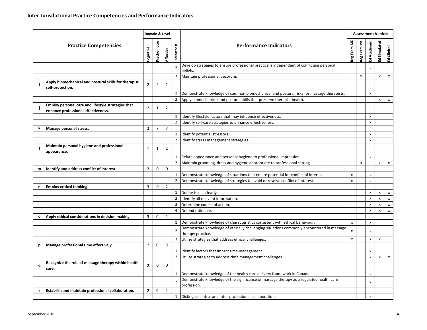|                                                                                                                                                                                                                                                                                                                                                                                                                                                                                                                                                                                                                                                                                                                                                                         |                                                                                           | Domain & Level<br>Psychomotor<br><b>Performance Indicators</b><br>$\ddot{}$<br>Cognitive<br>Affective<br>Indicator<br>Develop strategies to ensure professional practice is independent of conflicting personal<br>$\overline{2}$<br>beliefs.<br>Maintain professional decorum.<br>3<br>$\overline{2}$<br>$\overline{2}$<br>$\mathbf{1}$<br>1<br>$\overline{2}$<br>Apply biomechanical and postural skills that preserve therapist health.<br>$\overline{2}$<br>$\overline{2}$<br>$\mathbf{1}$<br>Identify lifestyle factors that may influence effectiveness.<br>1<br>$\overline{2}$<br>Identify self-care strategies to enhance effectiveness.<br>$\overline{2}$<br>$\overline{2}$<br>$\overline{2}$<br>$\mathbf{1}$<br>Identify potential stressors.<br>$\overline{2}$<br>Identify stress management strategies.<br>$\overline{2}$<br>$\mathbf{1}$<br>$\mathbf{1}$<br>Relate appearance and personal hygiene to professional impression.<br>$\mathbf{1}$<br>$\overline{2}$<br>Maintain grooming, dress and hygiene appropriate to professional setting.<br>$\mathbf 0$<br>$\overline{2}$<br>0<br>Demonstrate knowledge of situations that create potential for conflict of interest.<br>1<br>$\overline{2}$<br>Demonstrate knowledge of strategies to avoid or resolve conflict of interest.<br>$\overline{2}$<br>3<br>0<br>1<br>Define issues clearly.<br>Identify all relevant information.<br>$\overline{2}$<br>3<br>Determine course of action.<br>Defend rationale.<br>4<br>$\overline{2}$<br>3<br>0<br>Demonstrate knowledge of characteristics consistent with ethical behaviour.<br>1<br>$\overline{2}$<br>therapy practice.<br>3<br>Utilize strategies that address ethical challenges.<br>$\mathbf 0$<br>$\overline{2}$<br>0<br>$\mathbf{1}$<br>Identify factors that impact time management.<br>$\overline{2}$<br>Utilize strategies to address time management challenges.<br>$\overline{2}$<br>0<br>0<br>Demonstrate knowledge of the health care delivery framework in Canada.<br>1<br>$\overline{2}$<br>profession. |  |                                                                                          |   |   |                           |   |               |
|-------------------------------------------------------------------------------------------------------------------------------------------------------------------------------------------------------------------------------------------------------------------------------------------------------------------------------------------------------------------------------------------------------------------------------------------------------------------------------------------------------------------------------------------------------------------------------------------------------------------------------------------------------------------------------------------------------------------------------------------------------------------------|-------------------------------------------------------------------------------------------|---------------------------------------------------------------------------------------------------------------------------------------------------------------------------------------------------------------------------------------------------------------------------------------------------------------------------------------------------------------------------------------------------------------------------------------------------------------------------------------------------------------------------------------------------------------------------------------------------------------------------------------------------------------------------------------------------------------------------------------------------------------------------------------------------------------------------------------------------------------------------------------------------------------------------------------------------------------------------------------------------------------------------------------------------------------------------------------------------------------------------------------------------------------------------------------------------------------------------------------------------------------------------------------------------------------------------------------------------------------------------------------------------------------------------------------------------------------------------------------------------------------------------------------------------------------------------------------------------------------------------------------------------------------------------------------------------------------------------------------------------------------------------------------------------------------------------------------------------------------------------------------------------------------------------------------------------------------------------------------------------------------------------------------|--|------------------------------------------------------------------------------------------|---|---|---------------------------|---|---------------|
|                                                                                                                                                                                                                                                                                                                                                                                                                                                                                                                                                                                                                                                                                                                                                                         | <b>Practice Competencies</b>                                                              |                                                                                                                                                                                                                                                                                                                                                                                                                                                                                                                                                                                                                                                                                                                                                                                                                                                                                                                                                                                                                                                                                                                                                                                                                                                                                                                                                                                                                                                                                                                                                                                                                                                                                                                                                                                                                                                                                                                                                                                                                                       |  |                                                                                          |   |   |                           |   | Clinical<br>ヱ |
|                                                                                                                                                                                                                                                                                                                                                                                                                                                                                                                                                                                                                                                                                                                                                                         |                                                                                           |                                                                                                                                                                                                                                                                                                                                                                                                                                                                                                                                                                                                                                                                                                                                                                                                                                                                                                                                                                                                                                                                                                                                                                                                                                                                                                                                                                                                                                                                                                                                                                                                                                                                                                                                                                                                                                                                                                                                                                                                                                       |  |                                                                                          |   |   | X                         |   |               |
|                                                                                                                                                                                                                                                                                                                                                                                                                                                                                                                                                                                                                                                                                                                                                                         |                                                                                           |                                                                                                                                                                                                                                                                                                                                                                                                                                                                                                                                                                                                                                                                                                                                                                                                                                                                                                                                                                                                                                                                                                                                                                                                                                                                                                                                                                                                                                                                                                                                                                                                                                                                                                                                                                                                                                                                                                                                                                                                                                       |  |                                                                                          |   | x |                           | x |               |
|                                                                                                                                                                                                                                                                                                                                                                                                                                                                                                                                                                                                                                                                                                                                                                         | Apply biomechanical and postural skills for therapist<br>self-protection.                 |                                                                                                                                                                                                                                                                                                                                                                                                                                                                                                                                                                                                                                                                                                                                                                                                                                                                                                                                                                                                                                                                                                                                                                                                                                                                                                                                                                                                                                                                                                                                                                                                                                                                                                                                                                                                                                                                                                                                                                                                                                       |  |                                                                                          |   |   |                           |   |               |
|                                                                                                                                                                                                                                                                                                                                                                                                                                                                                                                                                                                                                                                                                                                                                                         |                                                                                           |                                                                                                                                                                                                                                                                                                                                                                                                                                                                                                                                                                                                                                                                                                                                                                                                                                                                                                                                                                                                                                                                                                                                                                                                                                                                                                                                                                                                                                                                                                                                                                                                                                                                                                                                                                                                                                                                                                                                                                                                                                       |  | Demonstrate knowledge of common biomechanical and postural risks for massage therapists. |   |   | $\mathsf{x}$              |   |               |
|                                                                                                                                                                                                                                                                                                                                                                                                                                                                                                                                                                                                                                                                                                                                                                         |                                                                                           |                                                                                                                                                                                                                                                                                                                                                                                                                                                                                                                                                                                                                                                                                                                                                                                                                                                                                                                                                                                                                                                                                                                                                                                                                                                                                                                                                                                                                                                                                                                                                                                                                                                                                                                                                                                                                                                                                                                                                                                                                                       |  |                                                                                          |   |   |                           | x |               |
|                                                                                                                                                                                                                                                                                                                                                                                                                                                                                                                                                                                                                                                                                                                                                                         | Employ personal care and lifestyle strategies that<br>enhance professional effectiveness. |                                                                                                                                                                                                                                                                                                                                                                                                                                                                                                                                                                                                                                                                                                                                                                                                                                                                                                                                                                                                                                                                                                                                                                                                                                                                                                                                                                                                                                                                                                                                                                                                                                                                                                                                                                                                                                                                                                                                                                                                                                       |  |                                                                                          |   |   |                           |   |               |
|                                                                                                                                                                                                                                                                                                                                                                                                                                                                                                                                                                                                                                                                                                                                                                         |                                                                                           |                                                                                                                                                                                                                                                                                                                                                                                                                                                                                                                                                                                                                                                                                                                                                                                                                                                                                                                                                                                                                                                                                                                                                                                                                                                                                                                                                                                                                                                                                                                                                                                                                                                                                                                                                                                                                                                                                                                                                                                                                                       |  |                                                                                          |   |   | $\pmb{\times}$            |   |               |
|                                                                                                                                                                                                                                                                                                                                                                                                                                                                                                                                                                                                                                                                                                                                                                         |                                                                                           |                                                                                                                                                                                                                                                                                                                                                                                                                                                                                                                                                                                                                                                                                                                                                                                                                                                                                                                                                                                                                                                                                                                                                                                                                                                                                                                                                                                                                                                                                                                                                                                                                                                                                                                                                                                                                                                                                                                                                                                                                                       |  |                                                                                          |   |   | $\boldsymbol{\mathsf{x}}$ |   |               |
| k                                                                                                                                                                                                                                                                                                                                                                                                                                                                                                                                                                                                                                                                                                                                                                       |                                                                                           |                                                                                                                                                                                                                                                                                                                                                                                                                                                                                                                                                                                                                                                                                                                                                                                                                                                                                                                                                                                                                                                                                                                                                                                                                                                                                                                                                                                                                                                                                                                                                                                                                                                                                                                                                                                                                                                                                                                                                                                                                                       |  |                                                                                          |   |   |                           |   |               |
|                                                                                                                                                                                                                                                                                                                                                                                                                                                                                                                                                                                                                                                                                                                                                                         |                                                                                           |                                                                                                                                                                                                                                                                                                                                                                                                                                                                                                                                                                                                                                                                                                                                                                                                                                                                                                                                                                                                                                                                                                                                                                                                                                                                                                                                                                                                                                                                                                                                                                                                                                                                                                                                                                                                                                                                                                                                                                                                                                       |  |                                                                                          |   |   | $\pmb{\times}$            |   |               |
|                                                                                                                                                                                                                                                                                                                                                                                                                                                                                                                                                                                                                                                                                                                                                                         |                                                                                           |                                                                                                                                                                                                                                                                                                                                                                                                                                                                                                                                                                                                                                                                                                                                                                                                                                                                                                                                                                                                                                                                                                                                                                                                                                                                                                                                                                                                                                                                                                                                                                                                                                                                                                                                                                                                                                                                                                                                                                                                                                       |  |                                                                                          |   |   | X                         |   |               |
|                                                                                                                                                                                                                                                                                                                                                                                                                                                                                                                                                                                                                                                                                                                                                                         | Maintain personal hygiene and professional<br>appearance.                                 |                                                                                                                                                                                                                                                                                                                                                                                                                                                                                                                                                                                                                                                                                                                                                                                                                                                                                                                                                                                                                                                                                                                                                                                                                                                                                                                                                                                                                                                                                                                                                                                                                                                                                                                                                                                                                                                                                                                                                                                                                                       |  |                                                                                          |   |   |                           |   |               |
|                                                                                                                                                                                                                                                                                                                                                                                                                                                                                                                                                                                                                                                                                                                                                                         |                                                                                           |                                                                                                                                                                                                                                                                                                                                                                                                                                                                                                                                                                                                                                                                                                                                                                                                                                                                                                                                                                                                                                                                                                                                                                                                                                                                                                                                                                                                                                                                                                                                                                                                                                                                                                                                                                                                                                                                                                                                                                                                                                       |  |                                                                                          |   |   | $\pmb{\times}$            |   |               |
|                                                                                                                                                                                                                                                                                                                                                                                                                                                                                                                                                                                                                                                                                                                                                                         |                                                                                           |                                                                                                                                                                                                                                                                                                                                                                                                                                                                                                                                                                                                                                                                                                                                                                                                                                                                                                                                                                                                                                                                                                                                                                                                                                                                                                                                                                                                                                                                                                                                                                                                                                                                                                                                                                                                                                                                                                                                                                                                                                       |  |                                                                                          |   | x |                           | x |               |
|                                                                                                                                                                                                                                                                                                                                                                                                                                                                                                                                                                                                                                                                                                                                                                         |                                                                                           |                                                                                                                                                                                                                                                                                                                                                                                                                                                                                                                                                                                                                                                                                                                                                                                                                                                                                                                                                                                                                                                                                                                                                                                                                                                                                                                                                                                                                                                                                                                                                                                                                                                                                                                                                                                                                                                                                                                                                                                                                                       |  |                                                                                          |   |   |                           |   |               |
|                                                                                                                                                                                                                                                                                                                                                                                                                                                                                                                                                                                                                                                                                                                                                                         |                                                                                           |                                                                                                                                                                                                                                                                                                                                                                                                                                                                                                                                                                                                                                                                                                                                                                                                                                                                                                                                                                                                                                                                                                                                                                                                                                                                                                                                                                                                                                                                                                                                                                                                                                                                                                                                                                                                                                                                                                                                                                                                                                       |  |                                                                                          | x |   | $\pmb{\times}$            |   |               |
|                                                                                                                                                                                                                                                                                                                                                                                                                                                                                                                                                                                                                                                                                                                                                                         |                                                                                           |                                                                                                                                                                                                                                                                                                                                                                                                                                                                                                                                                                                                                                                                                                                                                                                                                                                                                                                                                                                                                                                                                                                                                                                                                                                                                                                                                                                                                                                                                                                                                                                                                                                                                                                                                                                                                                                                                                                                                                                                                                       |  |                                                                                          | X |   | $\mathsf{x}$              |   |               |
| n                                                                                                                                                                                                                                                                                                                                                                                                                                                                                                                                                                                                                                                                                                                                                                       |                                                                                           |                                                                                                                                                                                                                                                                                                                                                                                                                                                                                                                                                                                                                                                                                                                                                                                                                                                                                                                                                                                                                                                                                                                                                                                                                                                                                                                                                                                                                                                                                                                                                                                                                                                                                                                                                                                                                                                                                                                                                                                                                                       |  |                                                                                          |   |   |                           |   |               |
|                                                                                                                                                                                                                                                                                                                                                                                                                                                                                                                                                                                                                                                                                                                                                                         |                                                                                           |                                                                                                                                                                                                                                                                                                                                                                                                                                                                                                                                                                                                                                                                                                                                                                                                                                                                                                                                                                                                                                                                                                                                                                                                                                                                                                                                                                                                                                                                                                                                                                                                                                                                                                                                                                                                                                                                                                                                                                                                                                       |  |                                                                                          |   |   | x                         | x |               |
|                                                                                                                                                                                                                                                                                                                                                                                                                                                                                                                                                                                                                                                                                                                                                                         |                                                                                           |                                                                                                                                                                                                                                                                                                                                                                                                                                                                                                                                                                                                                                                                                                                                                                                                                                                                                                                                                                                                                                                                                                                                                                                                                                                                                                                                                                                                                                                                                                                                                                                                                                                                                                                                                                                                                                                                                                                                                                                                                                       |  |                                                                                          |   |   | $\pmb{\times}$            | X |               |
|                                                                                                                                                                                                                                                                                                                                                                                                                                                                                                                                                                                                                                                                                                                                                                         |                                                                                           |                                                                                                                                                                                                                                                                                                                                                                                                                                                                                                                                                                                                                                                                                                                                                                                                                                                                                                                                                                                                                                                                                                                                                                                                                                                                                                                                                                                                                                                                                                                                                                                                                                                                                                                                                                                                                                                                                                                                                                                                                                       |  |                                                                                          |   |   | X                         | x |               |
|                                                                                                                                                                                                                                                                                                                                                                                                                                                                                                                                                                                                                                                                                                                                                                         |                                                                                           |                                                                                                                                                                                                                                                                                                                                                                                                                                                                                                                                                                                                                                                                                                                                                                                                                                                                                                                                                                                                                                                                                                                                                                                                                                                                                                                                                                                                                                                                                                                                                                                                                                                                                                                                                                                                                                                                                                                                                                                                                                       |  |                                                                                          |   |   | x                         | x |               |
| o                                                                                                                                                                                                                                                                                                                                                                                                                                                                                                                                                                                                                                                                                                                                                                       | Apply ethical considerations in decision making.                                          |                                                                                                                                                                                                                                                                                                                                                                                                                                                                                                                                                                                                                                                                                                                                                                                                                                                                                                                                                                                                                                                                                                                                                                                                                                                                                                                                                                                                                                                                                                                                                                                                                                                                                                                                                                                                                                                                                                                                                                                                                                       |  |                                                                                          |   |   |                           |   |               |
|                                                                                                                                                                                                                                                                                                                                                                                                                                                                                                                                                                                                                                                                                                                                                                         |                                                                                           |                                                                                                                                                                                                                                                                                                                                                                                                                                                                                                                                                                                                                                                                                                                                                                                                                                                                                                                                                                                                                                                                                                                                                                                                                                                                                                                                                                                                                                                                                                                                                                                                                                                                                                                                                                                                                                                                                                                                                                                                                                       |  |                                                                                          | X |   | X                         |   |               |
| <b>Assessment Vehicle</b><br>Reg Exam MC<br>Reg Exam PR<br>Ed Simulated<br>Ed Academic<br>Manage personal stress.<br>Identify and address conflict of interest.<br>m<br><b>Employ critical thinking.</b><br>Demonstrate knowledge of ethically challenging situations commonly encountered in massage<br>x<br>x<br>$\pmb{\times}$<br>X<br>X<br>Manage professional time effectively.<br>р<br>X<br>X<br>X<br>Recognize the role of massage therapy within health<br>q<br>care.<br>x<br>Demonstrate knowledge of the significance of massage therapy as a regulated health care<br>x<br>Establish and maintain professional collaboration.<br>$\overline{2}$<br>$\overline{2}$<br>0<br>r<br>Distinguish intra- and inter-professional collaboration.<br>$\mathbf{1}$<br>X |                                                                                           |                                                                                                                                                                                                                                                                                                                                                                                                                                                                                                                                                                                                                                                                                                                                                                                                                                                                                                                                                                                                                                                                                                                                                                                                                                                                                                                                                                                                                                                                                                                                                                                                                                                                                                                                                                                                                                                                                                                                                                                                                                       |  |                                                                                          |   |   |                           |   |               |
|                                                                                                                                                                                                                                                                                                                                                                                                                                                                                                                                                                                                                                                                                                                                                                         |                                                                                           |                                                                                                                                                                                                                                                                                                                                                                                                                                                                                                                                                                                                                                                                                                                                                                                                                                                                                                                                                                                                                                                                                                                                                                                                                                                                                                                                                                                                                                                                                                                                                                                                                                                                                                                                                                                                                                                                                                                                                                                                                                       |  |                                                                                          |   |   |                           |   |               |
|                                                                                                                                                                                                                                                                                                                                                                                                                                                                                                                                                                                                                                                                                                                                                                         | September 2016                                                                            |                                                                                                                                                                                                                                                                                                                                                                                                                                                                                                                                                                                                                                                                                                                                                                                                                                                                                                                                                                                                                                                                                                                                                                                                                                                                                                                                                                                                                                                                                                                                                                                                                                                                                                                                                                                                                                                                                                                                                                                                                                       |  |                                                                                          |   |   |                           |   |               |
|                                                                                                                                                                                                                                                                                                                                                                                                                                                                                                                                                                                                                                                                                                                                                                         |                                                                                           |                                                                                                                                                                                                                                                                                                                                                                                                                                                                                                                                                                                                                                                                                                                                                                                                                                                                                                                                                                                                                                                                                                                                                                                                                                                                                                                                                                                                                                                                                                                                                                                                                                                                                                                                                                                                                                                                                                                                                                                                                                       |  |                                                                                          |   |   |                           |   |               |
|                                                                                                                                                                                                                                                                                                                                                                                                                                                                                                                                                                                                                                                                                                                                                                         |                                                                                           |                                                                                                                                                                                                                                                                                                                                                                                                                                                                                                                                                                                                                                                                                                                                                                                                                                                                                                                                                                                                                                                                                                                                                                                                                                                                                                                                                                                                                                                                                                                                                                                                                                                                                                                                                                                                                                                                                                                                                                                                                                       |  |                                                                                          |   |   |                           |   |               |
|                                                                                                                                                                                                                                                                                                                                                                                                                                                                                                                                                                                                                                                                                                                                                                         |                                                                                           |                                                                                                                                                                                                                                                                                                                                                                                                                                                                                                                                                                                                                                                                                                                                                                                                                                                                                                                                                                                                                                                                                                                                                                                                                                                                                                                                                                                                                                                                                                                                                                                                                                                                                                                                                                                                                                                                                                                                                                                                                                       |  |                                                                                          |   |   |                           |   |               |
|                                                                                                                                                                                                                                                                                                                                                                                                                                                                                                                                                                                                                                                                                                                                                                         |                                                                                           |                                                                                                                                                                                                                                                                                                                                                                                                                                                                                                                                                                                                                                                                                                                                                                                                                                                                                                                                                                                                                                                                                                                                                                                                                                                                                                                                                                                                                                                                                                                                                                                                                                                                                                                                                                                                                                                                                                                                                                                                                                       |  |                                                                                          |   |   |                           |   |               |
|                                                                                                                                                                                                                                                                                                                                                                                                                                                                                                                                                                                                                                                                                                                                                                         |                                                                                           |                                                                                                                                                                                                                                                                                                                                                                                                                                                                                                                                                                                                                                                                                                                                                                                                                                                                                                                                                                                                                                                                                                                                                                                                                                                                                                                                                                                                                                                                                                                                                                                                                                                                                                                                                                                                                                                                                                                                                                                                                                       |  |                                                                                          |   |   |                           |   |               |
|                                                                                                                                                                                                                                                                                                                                                                                                                                                                                                                                                                                                                                                                                                                                                                         |                                                                                           |                                                                                                                                                                                                                                                                                                                                                                                                                                                                                                                                                                                                                                                                                                                                                                                                                                                                                                                                                                                                                                                                                                                                                                                                                                                                                                                                                                                                                                                                                                                                                                                                                                                                                                                                                                                                                                                                                                                                                                                                                                       |  |                                                                                          |   |   |                           |   |               |
|                                                                                                                                                                                                                                                                                                                                                                                                                                                                                                                                                                                                                                                                                                                                                                         |                                                                                           |                                                                                                                                                                                                                                                                                                                                                                                                                                                                                                                                                                                                                                                                                                                                                                                                                                                                                                                                                                                                                                                                                                                                                                                                                                                                                                                                                                                                                                                                                                                                                                                                                                                                                                                                                                                                                                                                                                                                                                                                                                       |  |                                                                                          |   |   |                           |   |               |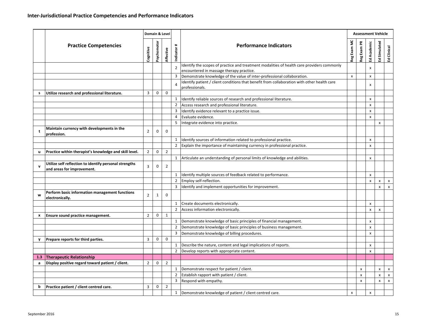|              | <b>Practice Competencies</b>                                                                                                                                                                                                                                                                                                                                                                                                                                                                                                                                                                                                                                                                                                                                                                                                                                                                                                                                                                                                                                                                                                                                                                                                                                                      |                                                                                                                                                                                              |              |                | $\ddot{}$      | <b>Performance Indicators</b>                                                              |   |                           |   |  |
|--------------|-----------------------------------------------------------------------------------------------------------------------------------------------------------------------------------------------------------------------------------------------------------------------------------------------------------------------------------------------------------------------------------------------------------------------------------------------------------------------------------------------------------------------------------------------------------------------------------------------------------------------------------------------------------------------------------------------------------------------------------------------------------------------------------------------------------------------------------------------------------------------------------------------------------------------------------------------------------------------------------------------------------------------------------------------------------------------------------------------------------------------------------------------------------------------------------------------------------------------------------------------------------------------------------|----------------------------------------------------------------------------------------------------------------------------------------------------------------------------------------------|--------------|----------------|----------------|--------------------------------------------------------------------------------------------|---|---------------------------|---|--|
|              |                                                                                                                                                                                                                                                                                                                                                                                                                                                                                                                                                                                                                                                                                                                                                                                                                                                                                                                                                                                                                                                                                                                                                                                                                                                                                   |                                                                                                                                                                                              |              |                |                | Identify the scopes of practice and treatment modalities of health care providers commonly |   |                           |   |  |
|              |                                                                                                                                                                                                                                                                                                                                                                                                                                                                                                                                                                                                                                                                                                                                                                                                                                                                                                                                                                                                                                                                                                                                                                                                                                                                                   |                                                                                                                                                                                              |              |                |                | encountered in massage therapy practice.                                                   |   |                           |   |  |
|              |                                                                                                                                                                                                                                                                                                                                                                                                                                                                                                                                                                                                                                                                                                                                                                                                                                                                                                                                                                                                                                                                                                                                                                                                                                                                                   |                                                                                                                                                                                              |              |                | 3              |                                                                                            | X | X                         |   |  |
|              |                                                                                                                                                                                                                                                                                                                                                                                                                                                                                                                                                                                                                                                                                                                                                                                                                                                                                                                                                                                                                                                                                                                                                                                                                                                                                   |                                                                                                                                                                                              |              |                | $\overline{4}$ | professionals.                                                                             |   | x                         |   |  |
| s            | Utilize research and professional literature.                                                                                                                                                                                                                                                                                                                                                                                                                                                                                                                                                                                                                                                                                                                                                                                                                                                                                                                                                                                                                                                                                                                                                                                                                                     | 3                                                                                                                                                                                            | $\mathbf 0$  | $\mathbf 0$    |                |                                                                                            |   |                           |   |  |
|              |                                                                                                                                                                                                                                                                                                                                                                                                                                                                                                                                                                                                                                                                                                                                                                                                                                                                                                                                                                                                                                                                                                                                                                                                                                                                                   |                                                                                                                                                                                              |              |                | 1              | Identify reliable sources of research and professional literature.                         |   | x                         |   |  |
|              |                                                                                                                                                                                                                                                                                                                                                                                                                                                                                                                                                                                                                                                                                                                                                                                                                                                                                                                                                                                                                                                                                                                                                                                                                                                                                   |                                                                                                                                                                                              |              |                | $\overline{2}$ | Access research and professional literature.                                               |   | X                         |   |  |
|              |                                                                                                                                                                                                                                                                                                                                                                                                                                                                                                                                                                                                                                                                                                                                                                                                                                                                                                                                                                                                                                                                                                                                                                                                                                                                                   |                                                                                                                                                                                              |              |                | 3              | Identify evidence relevant to a practice issue.                                            |   | $\boldsymbol{\mathsf{x}}$ |   |  |
|              |                                                                                                                                                                                                                                                                                                                                                                                                                                                                                                                                                                                                                                                                                                                                                                                                                                                                                                                                                                                                                                                                                                                                                                                                                                                                                   |                                                                                                                                                                                              |              |                | 4              | Evaluate evidence.                                                                         |   | $\pmb{\times}$            |   |  |
|              |                                                                                                                                                                                                                                                                                                                                                                                                                                                                                                                                                                                                                                                                                                                                                                                                                                                                                                                                                                                                                                                                                                                                                                                                                                                                                   |                                                                                                                                                                                              |              |                | 5              | Integrate evidence into practice.                                                          |   |                           | X |  |
| t            | Maintain currency with developments in the<br>profession.                                                                                                                                                                                                                                                                                                                                                                                                                                                                                                                                                                                                                                                                                                                                                                                                                                                                                                                                                                                                                                                                                                                                                                                                                         | $\overline{2}$                                                                                                                                                                               | $\mathbf 0$  | 0              |                |                                                                                            |   |                           |   |  |
|              |                                                                                                                                                                                                                                                                                                                                                                                                                                                                                                                                                                                                                                                                                                                                                                                                                                                                                                                                                                                                                                                                                                                                                                                                                                                                                   |                                                                                                                                                                                              |              |                | $\mathbf{1}$   | Identify sources of information related to professional practice.                          |   | $\pmb{\times}$            |   |  |
|              |                                                                                                                                                                                                                                                                                                                                                                                                                                                                                                                                                                                                                                                                                                                                                                                                                                                                                                                                                                                                                                                                                                                                                                                                                                                                                   |                                                                                                                                                                                              |              |                | $\overline{2}$ | Explain the importance of maintaining currency in professional practice.                   |   | $\pmb{\times}$            |   |  |
| u            | Practice within therapist's knowledge and skill level.                                                                                                                                                                                                                                                                                                                                                                                                                                                                                                                                                                                                                                                                                                                                                                                                                                                                                                                                                                                                                                                                                                                                                                                                                            | $\overline{2}$                                                                                                                                                                               | 0            | $\overline{2}$ |                |                                                                                            |   |                           |   |  |
|              |                                                                                                                                                                                                                                                                                                                                                                                                                                                                                                                                                                                                                                                                                                                                                                                                                                                                                                                                                                                                                                                                                                                                                                                                                                                                                   |                                                                                                                                                                                              |              |                | 1              |                                                                                            |   | x                         |   |  |
| $\mathbf{v}$ | Utilize self reflection to identify personal strengths<br>and areas for improvement.                                                                                                                                                                                                                                                                                                                                                                                                                                                                                                                                                                                                                                                                                                                                                                                                                                                                                                                                                                                                                                                                                                                                                                                              | 3                                                                                                                                                                                            | 0            | $\overline{2}$ |                |                                                                                            |   |                           |   |  |
|              |                                                                                                                                                                                                                                                                                                                                                                                                                                                                                                                                                                                                                                                                                                                                                                                                                                                                                                                                                                                                                                                                                                                                                                                                                                                                                   |                                                                                                                                                                                              |              |                | 1              |                                                                                            |   | $\pmb{\times}$            |   |  |
|              |                                                                                                                                                                                                                                                                                                                                                                                                                                                                                                                                                                                                                                                                                                                                                                                                                                                                                                                                                                                                                                                                                                                                                                                                                                                                                   |                                                                                                                                                                                              |              |                | $\overline{2}$ |                                                                                            |   | $\pmb{\times}$            | X |  |
|              |                                                                                                                                                                                                                                                                                                                                                                                                                                                                                                                                                                                                                                                                                                                                                                                                                                                                                                                                                                                                                                                                                                                                                                                                                                                                                   |                                                                                                                                                                                              |              |                | 3              |                                                                                            |   |                           | x |  |
| w            | Perform basic information management functions<br>electronically.                                                                                                                                                                                                                                                                                                                                                                                                                                                                                                                                                                                                                                                                                                                                                                                                                                                                                                                                                                                                                                                                                                                                                                                                                 | $\overline{2}$                                                                                                                                                                               | $\mathbf{1}$ | 0              |                |                                                                                            |   |                           |   |  |
|              |                                                                                                                                                                                                                                                                                                                                                                                                                                                                                                                                                                                                                                                                                                                                                                                                                                                                                                                                                                                                                                                                                                                                                                                                                                                                                   |                                                                                                                                                                                              |              |                | 1              | Create documents electronically.                                                           |   | $\pmb{\times}$            |   |  |
|              |                                                                                                                                                                                                                                                                                                                                                                                                                                                                                                                                                                                                                                                                                                                                                                                                                                                                                                                                                                                                                                                                                                                                                                                                                                                                                   |                                                                                                                                                                                              |              |                | $\overline{2}$ | Access information electronically.                                                         |   | X                         | x |  |
| x            | Ensure sound practice management.                                                                                                                                                                                                                                                                                                                                                                                                                                                                                                                                                                                                                                                                                                                                                                                                                                                                                                                                                                                                                                                                                                                                                                                                                                                 | $\overline{2}$                                                                                                                                                                               | 0            | $\mathbf{1}$   |                |                                                                                            |   |                           |   |  |
|              |                                                                                                                                                                                                                                                                                                                                                                                                                                                                                                                                                                                                                                                                                                                                                                                                                                                                                                                                                                                                                                                                                                                                                                                                                                                                                   |                                                                                                                                                                                              |              |                | $1\,$          | Demonstrate knowledge of basic principles of financial management.                         |   | X                         |   |  |
|              | Domain & Level<br>Reg Exam MC<br>Reg Exam PR<br>Ed Simulated<br>Psychomotor<br>Ed Academic<br>Cognitive<br>Affective<br>Indicator<br>$\overline{2}$<br>x<br>Demonstrate knowledge of the value of inter-professional collaboration.<br>Identify patient / client conditions that benefit from collaboration with other health care<br>Articulate an understanding of personal limits of knowledge and abilities.<br>Identify multiple sources of feedback related to performance.<br>Employ self-reflection.<br>Identify and implement opportunities for improvement.<br>$\overline{2}$<br>Demonstrate knowledge of basic principles of business management.<br>$\pmb{\times}$<br>3<br>Demonstrate knowledge of billing procedures.<br>$\pmb{\times}$<br>3<br>$\mathbf 0$<br>$\mathbf 0$<br>Describe the nature, content and legal implications of reports.<br>1<br>$\mathsf{x}$<br>$\overline{2}$<br>Develop reports with appropriate content.<br>$\boldsymbol{\mathsf{x}}$<br>$\overline{2}$<br>$\overline{2}$<br>0<br>1 Demonstrate respect for patient / client.<br>$\mathbf{x}$<br>$\pmb{\mathsf{x}}$<br>$\overline{2}$<br>Establish rapport with patient / client.<br>$\pmb{\mathsf{x}}$<br>X<br>Respond with empathy.<br>3<br>x<br>x<br>$\overline{2}$<br>3<br>$\mathbf 0$ |                                                                                                                                                                                              |              |                |                |                                                                                            |   |                           |   |  |
|              |                                                                                                                                                                                                                                                                                                                                                                                                                                                                                                                                                                                                                                                                                                                                                                                                                                                                                                                                                                                                                                                                                                                                                                                                                                                                                   |                                                                                                                                                                                              |              |                |                |                                                                                            |   |                           |   |  |
| v            | Prepare reports for third parties.                                                                                                                                                                                                                                                                                                                                                                                                                                                                                                                                                                                                                                                                                                                                                                                                                                                                                                                                                                                                                                                                                                                                                                                                                                                |                                                                                                                                                                                              |              |                |                |                                                                                            |   |                           |   |  |
|              |                                                                                                                                                                                                                                                                                                                                                                                                                                                                                                                                                                                                                                                                                                                                                                                                                                                                                                                                                                                                                                                                                                                                                                                                                                                                                   | <b>Assessment Vehicle</b><br>Clinical<br>훕<br>X<br>$\pmb{\times}$<br>$\pmb{\times}$<br>$\boldsymbol{\mathsf{x}}$<br>X<br>1 Demonstrate knowledge of patient / client centred care.<br>x<br>X |              |                |                |                                                                                            |   |                           |   |  |
|              |                                                                                                                                                                                                                                                                                                                                                                                                                                                                                                                                                                                                                                                                                                                                                                                                                                                                                                                                                                                                                                                                                                                                                                                                                                                                                   |                                                                                                                                                                                              |              |                |                |                                                                                            |   |                           |   |  |
| 1.3          | <b>Therapeutic Relationship</b>                                                                                                                                                                                                                                                                                                                                                                                                                                                                                                                                                                                                                                                                                                                                                                                                                                                                                                                                                                                                                                                                                                                                                                                                                                                   |                                                                                                                                                                                              |              |                |                |                                                                                            |   |                           |   |  |
| a            | Display positive regard toward patient / client.                                                                                                                                                                                                                                                                                                                                                                                                                                                                                                                                                                                                                                                                                                                                                                                                                                                                                                                                                                                                                                                                                                                                                                                                                                  |                                                                                                                                                                                              |              |                |                |                                                                                            |   |                           |   |  |
|              |                                                                                                                                                                                                                                                                                                                                                                                                                                                                                                                                                                                                                                                                                                                                                                                                                                                                                                                                                                                                                                                                                                                                                                                                                                                                                   |                                                                                                                                                                                              |              |                |                |                                                                                            |   |                           |   |  |
|              |                                                                                                                                                                                                                                                                                                                                                                                                                                                                                                                                                                                                                                                                                                                                                                                                                                                                                                                                                                                                                                                                                                                                                                                                                                                                                   |                                                                                                                                                                                              |              |                |                |                                                                                            |   |                           |   |  |
|              |                                                                                                                                                                                                                                                                                                                                                                                                                                                                                                                                                                                                                                                                                                                                                                                                                                                                                                                                                                                                                                                                                                                                                                                                                                                                                   |                                                                                                                                                                                              |              |                |                |                                                                                            |   |                           |   |  |
| b            | Practice patient / client centred care.                                                                                                                                                                                                                                                                                                                                                                                                                                                                                                                                                                                                                                                                                                                                                                                                                                                                                                                                                                                                                                                                                                                                                                                                                                           |                                                                                                                                                                                              |              |                |                |                                                                                            |   |                           |   |  |
|              |                                                                                                                                                                                                                                                                                                                                                                                                                                                                                                                                                                                                                                                                                                                                                                                                                                                                                                                                                                                                                                                                                                                                                                                                                                                                                   |                                                                                                                                                                                              |              |                |                |                                                                                            |   |                           |   |  |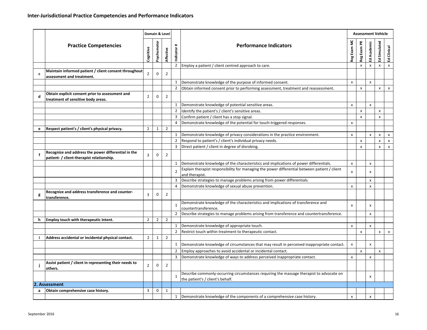|   |                                                                                                  |                |                | Domain & Level |                           |                                                                                                                              |                           | <b>Assessment Vehicle</b> |                           |                |                           |
|---|--------------------------------------------------------------------------------------------------|----------------|----------------|----------------|---------------------------|------------------------------------------------------------------------------------------------------------------------------|---------------------------|---------------------------|---------------------------|----------------|---------------------------|
|   | <b>Practice Competencies</b>                                                                     | Cognitive      | Psychomotor    | Affective      | $\texttt{+}$<br>Indicator | <b>Performance Indicators</b>                                                                                                | Reg Exam MC               | Reg Exam PR               | Ed Academic               | Ed Simulated   | Clinical<br>훕             |
|   |                                                                                                  |                |                |                | $2^{\circ}$               | Employ a patient / client centred approach to care.                                                                          |                           | $\pmb{\mathsf{x}}$        | $\pmb{\mathsf{x}}$        | X              | $\boldsymbol{\mathsf{x}}$ |
| c | Maintain informed patient / client consent throughout<br>assessment and treatment.               | $\overline{2}$ | 0              | $\overline{2}$ |                           |                                                                                                                              |                           |                           |                           |                |                           |
|   |                                                                                                  |                |                |                | $\mathbf{1}$              | Demonstrate knowledge of the purpose of informed consent.                                                                    | $\pmb{\times}$            |                           | $\pmb{\mathsf{x}}$        |                |                           |
|   |                                                                                                  |                |                |                | $\overline{2}$            | Obtain informed consent prior to performing assessment, treatment and reassessment.                                          |                           | x                         |                           | x              |                           |
| d | Obtain explicit consent prior to assessment and<br>treatment of sensitive body areas.            | $\overline{2}$ | $\mathbf 0$    | $\overline{2}$ |                           |                                                                                                                              |                           |                           |                           |                |                           |
|   |                                                                                                  |                |                |                |                           | 1 Demonstrate knowledge of potential sensitive areas.                                                                        | x                         |                           | $\pmb{\mathsf{x}}$        |                |                           |
|   |                                                                                                  |                |                |                | $\overline{2}$            | Identify the patient's / client's sensitive areas.                                                                           |                           | x                         |                           | x              |                           |
|   |                                                                                                  |                |                |                | 3                         | Confirm patient / client has a stop signal.                                                                                  |                           | x                         |                           | x              |                           |
|   |                                                                                                  |                |                |                | 4                         | Demonstrate knowledge of the potential for touch-triggered responses.                                                        | x                         |                           |                           |                |                           |
| e | Respect patient's / client's physical privacy.                                                   | $\overline{2}$ | 1              | $\overline{2}$ |                           |                                                                                                                              |                           |                           |                           |                |                           |
|   |                                                                                                  |                |                |                | 1                         | Demonstrate knowledge of privacy considerations in the practice environment.                                                 | x                         |                           | X                         | x              |                           |
|   |                                                                                                  |                |                |                | $\overline{2}$            | Respond to patient's / client's individual privacy needs.                                                                    |                           | $\pmb{\mathsf{x}}$        |                           | $\pmb{\times}$ |                           |
|   |                                                                                                  |                |                |                | 3                         | Direct patient / client in degree of disrobing.                                                                              |                           | X                         |                           | x              |                           |
| f | Recognize and address the power differential in the<br>patient- / client-therapist relationship. | 3              | 0              | $\overline{2}$ |                           |                                                                                                                              |                           |                           |                           |                |                           |
|   |                                                                                                  |                |                |                | $\mathbf{1}$              | Demonstrate knowledge of the characteristics and implications of power differentials.                                        | X                         |                           | $\pmb{\times}$            |                |                           |
|   |                                                                                                  |                |                |                | $\overline{2}$            | Explain therapist responsibility for managing the power differential between patient / client                                | X                         |                           | x                         |                |                           |
|   |                                                                                                  |                |                |                |                           | and therapist.                                                                                                               |                           |                           |                           |                |                           |
|   |                                                                                                  |                |                |                | 3                         | Describe strategies to manage problems arising from power differentials.                                                     |                           |                           | $\mathsf{x}$              |                |                           |
|   |                                                                                                  |                |                |                | 4                         | Demonstrate knowledge of sexual abuse prevention.                                                                            | X                         |                           | $\boldsymbol{\mathsf{x}}$ |                |                           |
| g | Recognize and address transference and counter-<br>transference.                                 | 3              | 0              | $\overline{2}$ |                           |                                                                                                                              |                           |                           |                           |                |                           |
|   |                                                                                                  |                |                |                | $\mathbf{1}$              | Demonstrate knowledge of the characteristics and implications of transference and<br>countertransference.                    | $\mathsf{x}$              |                           | X                         |                |                           |
|   |                                                                                                  |                |                |                | $\overline{2}$            | Describe strategies to manage problems arising from transference and countertransference.                                    |                           |                           | $\pmb{\times}$            |                |                           |
| h | Employ touch with therapeutic intent.                                                            | $\overline{2}$ | $\overline{2}$ | $\overline{2}$ |                           |                                                                                                                              |                           |                           |                           |                |                           |
|   |                                                                                                  |                |                |                | 1                         | Demonstrate knowledge of appropriate touch.                                                                                  | X                         |                           | $\mathsf{x}$              |                |                           |
|   |                                                                                                  |                |                |                | $\overline{2}$            | Restrict touch within treatment to therapeutic contact.                                                                      |                           | x                         |                           | x              |                           |
|   | Address accidental or incidental physical contact.                                               | $\overline{2}$ | $\mathbf{1}$   | $\overline{2}$ |                           |                                                                                                                              |                           |                           |                           |                |                           |
|   |                                                                                                  |                |                |                | $\mathbf{1}$              | Demonstrate knowledge of circumstances that may result in perceived inappropriate contact.                                   | $\pmb{\times}$            |                           | $\mathsf{x}$              |                |                           |
|   |                                                                                                  |                |                |                | $\overline{2}$            | Employ approaches to avoid accidental or incidental contact.                                                                 |                           | x                         |                           | x              |                           |
|   |                                                                                                  |                |                |                | 3                         | Demonstrate knowledge of ways to address perceived inappropriate contact.                                                    | $\boldsymbol{\mathsf{x}}$ |                           | $\pmb{\times}$            |                |                           |
|   | Assist patient / client in representing their needs to<br>others.                                | $\overline{2}$ | $\pmb{0}$      | $\overline{2}$ |                           |                                                                                                                              |                           |                           |                           |                |                           |
|   |                                                                                                  |                |                |                |                           | Describe commonly-occurring circumstances requiring the massage therapist to advocate on<br>the patient's / client's behalf. |                           |                           | X                         |                |                           |
|   | 2. Assessment                                                                                    |                |                |                |                           |                                                                                                                              |                           |                           |                           |                |                           |
| a | Obtain comprehensive case history.                                                               | 3              | 0              | 1              |                           |                                                                                                                              |                           |                           |                           |                |                           |
|   |                                                                                                  |                |                |                | 1                         | Demonstrate knowledge of the components of a comprehensive case history.                                                     | x                         |                           | X                         |                |                           |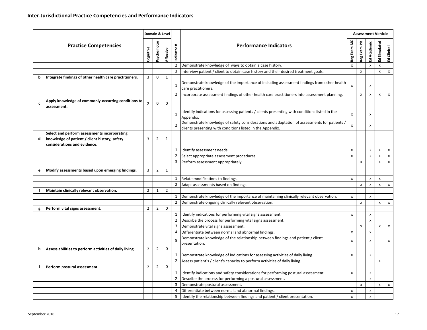|   |                                                                                                                               |                |                | Domain & Level   |                           |                                                                                                                                                           |              |                | <b>Assessment Vehicle</b> |                |               |
|---|-------------------------------------------------------------------------------------------------------------------------------|----------------|----------------|------------------|---------------------------|-----------------------------------------------------------------------------------------------------------------------------------------------------------|--------------|----------------|---------------------------|----------------|---------------|
|   | <b>Practice Competencies</b>                                                                                                  | Cognitive      | Psychomotor    | <b>Affective</b> | $\texttt{+}$<br>Indicator | <b>Performance Indicators</b>                                                                                                                             | Reg Exam MC  | Reg Exam PR    | Ed Academic               | Ed Simulated   | Clinical<br>훕 |
|   |                                                                                                                               |                |                |                  | $\overline{2}$            | Demonstrate knowledge of ways to obtain a case history.                                                                                                   | X            |                | $\mathsf{x}$              | X              |               |
|   |                                                                                                                               |                |                |                  | 3                         | Interview patient / client to obtain case history and their desired treatment goals.                                                                      |              | x              |                           | x              |               |
| b | Integrate findings of other health care practitioners.                                                                        | 3              | $\mathbf 0$    | $\mathbf{1}$     |                           |                                                                                                                                                           |              |                |                           |                |               |
|   |                                                                                                                               |                |                |                  | $\mathbf{1}$              | Demonstrate knowledge of the importance of including assessment findings from other health<br>care practitioners.                                         | $\mathsf{x}$ |                | $\pmb{\times}$            |                |               |
|   |                                                                                                                               |                |                |                  | $\overline{2}$            | Incorporate assessment findings of other health care practitioners into assessment planning.                                                              |              | x              | $\pmb{\times}$            | x              |               |
| c | Apply knowledge of commonly-occurring conditions to<br>assessment.                                                            | $\mathbf 2$    | 0              | $\mathbf 0$      |                           |                                                                                                                                                           |              |                |                           |                |               |
|   |                                                                                                                               |                |                |                  | $\mathbf{1}$              | Identify indications for assessing patients / clients presenting with conditions listed in the<br>Appendix.                                               | X            |                | x                         |                |               |
|   |                                                                                                                               |                |                |                  | $\overline{2}$            | Demonstrate knowledge of safety considerations and adaptation of assessments for patients /<br>clients presenting with conditions listed in the Appendix. | $\mathsf{x}$ |                | x                         |                |               |
| d | Select and perform assessments incorporating<br>knowledge of patient / client history, safety<br>considerations and evidence. | 3              | 2              | 1                |                           |                                                                                                                                                           |              |                |                           |                |               |
|   |                                                                                                                               |                |                |                  | $\mathbf{1}$              | Identify assessment needs.                                                                                                                                | X            |                | X                         | $\pmb{\times}$ |               |
|   |                                                                                                                               |                |                |                  | 2                         | Select appropriate assessment procedures.                                                                                                                 | X            |                | $\pmb{\times}$            | x              |               |
|   |                                                                                                                               |                |                |                  | 3                         | Perform assessment appropriately.                                                                                                                         |              | x              |                           | x              |               |
| e | Modify assessments based upon emerging findings.                                                                              | 3              | $\overline{2}$ | $\mathbf{1}$     |                           |                                                                                                                                                           |              |                |                           |                |               |
|   |                                                                                                                               |                |                |                  | $1\,$                     | Relate modifications to findings.                                                                                                                         | x            |                | X                         | X              |               |
|   |                                                                                                                               |                |                |                  | $\overline{2}$            | Adapt assessments based on findings.                                                                                                                      |              | x              | $\pmb{\times}$            | X              |               |
| f | Maintain clinically relevant observation.                                                                                     | $\overline{2}$ | $\mathbf{1}$   | $\overline{2}$   |                           |                                                                                                                                                           |              |                |                           |                |               |
|   |                                                                                                                               |                |                |                  | 1                         | Demonstrate knowledge of the importance of maintaining clinically relevant observation.                                                                   | X            |                | $\mathsf{x}$              |                |               |
|   |                                                                                                                               |                |                |                  | $\overline{2}$            | Demonstrate ongoing clinically relevant observation.                                                                                                      |              | $\pmb{\times}$ |                           | x              |               |
| g | Perform vital signs assessment.                                                                                               | $\overline{2}$ | $\overline{2}$ | $\mathbf 0$      |                           |                                                                                                                                                           |              |                |                           |                |               |
|   |                                                                                                                               |                |                |                  | 1                         | Identify indications for performing vital signs assessment.                                                                                               | X            |                | X                         |                |               |
|   |                                                                                                                               |                |                |                  | $\overline{2}$            | Describe the process for performing vital signs assessment.                                                                                               |              |                | $\pmb{\times}$            |                |               |
|   |                                                                                                                               |                |                |                  | 3                         | Demonstrate vital signs assessment.                                                                                                                       |              | x              |                           | x              |               |
|   |                                                                                                                               |                |                |                  | 4                         | Differentiate between normal and abnormal findings.                                                                                                       | X            |                | $\pmb{\times}$            |                |               |
|   |                                                                                                                               |                |                |                  | 5                         | Demonstrate knowledge of the relationship between findings and patient / client<br>presentation.                                                          | x            |                | x                         |                |               |
| h | Assess abilities to perform activities of daily living.                                                                       | $\overline{2}$ | $\overline{2}$ | 0                |                           |                                                                                                                                                           |              |                |                           |                |               |
|   |                                                                                                                               |                |                |                  | 1                         | Demonstrate knowledge of indications for assessing activities of daily living.                                                                            | X            |                | X                         |                |               |
|   |                                                                                                                               |                |                |                  | $\overline{2}$            | Assess patient's / client's capacity to perform activities of daily living.                                                                               |              |                |                           | x              |               |
| ÷ | Perform postural assessment.                                                                                                  | $\overline{2}$ | $\overline{2}$ | 0                |                           |                                                                                                                                                           |              |                |                           |                |               |
|   |                                                                                                                               |                |                |                  | 1                         | Identify indications and safety considerations for performing postural assessment.                                                                        | X            |                | X                         |                |               |
|   |                                                                                                                               |                |                |                  | $\overline{2}$            | Describe the process for performing a postural assessment.                                                                                                |              |                | $\mathsf{x}$              |                |               |
|   |                                                                                                                               |                |                |                  | 3                         | Demonstrate postural assessment.                                                                                                                          |              | x              |                           | X              |               |
|   |                                                                                                                               |                |                |                  | 4                         | Differentiate between normal and abnormal findings.                                                                                                       | X            |                | X                         |                |               |
|   |                                                                                                                               |                |                |                  | 5                         | Identify the relationship between findings and patient / client presentation.                                                                             | X            |                | X                         |                |               |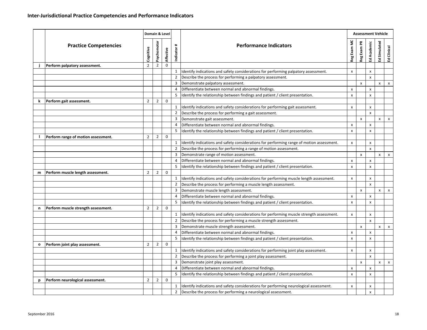|   | <b>Practice Competencies</b>        | Cognitive      | Psychomotor    | Domain & Level<br>Affective | #<br>Indicator | <b>Performance Indicators</b>                                                                | Reg Exam MC               | Reg Exam PR        | <b>Assessment Vehicle</b><br>Ed Academic | Ed Simulated | Clinical<br>훕 |
|---|-------------------------------------|----------------|----------------|-----------------------------|----------------|----------------------------------------------------------------------------------------------|---------------------------|--------------------|------------------------------------------|--------------|---------------|
|   | Perform palpatory assessment.       | $\overline{2}$ | $\overline{2}$ | $\mathbf 0$                 |                |                                                                                              |                           |                    |                                          |              |               |
|   |                                     |                |                |                             | $\mathbf{1}$   | Identify indications and safety considerations for performing palpatory assessment.          | x                         |                    | x                                        |              |               |
|   |                                     |                |                |                             | $\overline{2}$ | Describe the process for performing a palpatory assessment.                                  |                           |                    | $\pmb{\times}$                           |              |               |
|   |                                     |                |                |                             | 3              | Demonstrate palpatory assessment.                                                            |                           | $\pmb{\mathsf{x}}$ |                                          | x            | x             |
|   |                                     |                |                |                             | 4              | Differentiate between normal and abnormal findings.                                          | X                         |                    | X                                        |              |               |
|   |                                     |                |                |                             | 5              | Identify the relationship between findings and patient / client presentation.                | $\boldsymbol{\mathsf{x}}$ |                    | $\pmb{\times}$                           |              |               |
| k | Perform gait assessment.            | $\overline{2}$ | $\overline{2}$ | 0                           |                |                                                                                              |                           |                    |                                          |              |               |
|   |                                     |                |                |                             |                | Identify indications and safety considerations for performing gait assessment.               | X                         |                    | X                                        |              |               |
|   |                                     |                |                |                             | $\overline{2}$ | Describe the process for performing a gait assessment.                                       |                           |                    | X                                        |              |               |
|   |                                     |                |                |                             | 3              | Demonstrate gait assessment.                                                                 |                           | x                  |                                          | x            | х             |
|   |                                     |                |                |                             | 4              | Differentiate between normal and abnormal findings.                                          | X                         |                    | $\pmb{\times}$                           |              |               |
|   |                                     |                |                |                             | 5              | Identify the relationship between findings and patient / client presentation.                | X                         |                    | $\boldsymbol{\mathsf{x}}$                |              |               |
|   | Perform range of motion assessment. | $\overline{2}$ | $\overline{2}$ | $\mathbf 0$                 |                |                                                                                              |                           |                    |                                          |              |               |
|   |                                     |                |                |                             | 1              | Identify indications and safety considerations for performing range of motion assessment.    | x                         |                    | х                                        |              |               |
|   |                                     |                |                |                             | $\overline{2}$ | Describe the process for performing a range of motion assessment.                            |                           |                    | $\pmb{\times}$                           |              | x             |
|   |                                     |                |                |                             | 3              | Demonstrate range of motion assessment.                                                      |                           | $\pmb{\mathsf{x}}$ |                                          | x            |               |
|   |                                     |                |                |                             | 4              | Differentiate between normal and abnormal findings.                                          | x                         |                    | $\pmb{\times}$                           |              |               |
|   |                                     |                |                |                             | 5              | Identify the relationship between findings and patient / client presentation.                | $\boldsymbol{\mathsf{x}}$ |                    | $\boldsymbol{\mathsf{x}}$                |              |               |
| m | Perform muscle length assessment.   | $\overline{2}$ | $\overline{2}$ | $\mathbf 0$                 |                |                                                                                              |                           |                    |                                          |              |               |
|   |                                     |                |                |                             | 1<br>2         | Identify indications and safety considerations for performing muscle length assessment.      | X                         |                    | $\pmb{\times}$                           |              |               |
|   |                                     |                |                |                             | 3              | Describe the process for performing a muscle length assessment.                              |                           |                    | X                                        |              |               |
|   |                                     |                |                |                             | 4              | Demonstrate muscle length assessment.<br>Differentiate between normal and abnormal findings. | X                         | $\pmb{\mathsf{x}}$ | x                                        | X            | x             |
|   |                                     |                |                |                             | 5              | Identify the relationship between findings and patient / client presentation.                | x                         |                    | $\pmb{\times}$                           |              |               |
| n | Perform muscle strength assessment. | $\overline{2}$ | $\overline{2}$ | $\mathbf 0$                 |                |                                                                                              |                           |                    |                                          |              |               |
|   |                                     |                |                |                             | $\mathbf{1}$   | Identify indications and safety considerations for performing muscle strength assessment.    | X                         |                    | $\mathsf{x}$                             |              |               |
|   |                                     |                |                |                             | $\overline{2}$ | Describe the process for performing a muscle strength assessment.                            |                           |                    | $\pmb{\times}$                           |              |               |
|   |                                     |                |                |                             | 3              | Demonstrate muscle strength assessment.                                                      |                           | x                  |                                          | x            |               |
|   |                                     |                |                |                             | 4              | Differentiate between normal and abnormal findings.                                          | X                         |                    | X                                        |              | x             |
|   |                                     |                |                |                             | 5              | Identify the relationship between findings and patient / client presentation.                | x                         |                    | $\boldsymbol{\mathsf{x}}$                |              |               |
| 0 | Perform joint play assessment.      | $\overline{2}$ | $\overline{2}$ | 0                           |                |                                                                                              |                           |                    |                                          |              |               |
|   |                                     |                |                |                             | $\mathbf{1}$   | Identify indications and safety considerations for performing joint play assessment.         | $\pmb{\times}$            |                    | $\pmb{\times}$                           |              |               |
|   |                                     |                |                |                             | 2              | Describe the process for performing a joint play assessment.                                 |                           |                    | $\mathsf{x}$                             |              |               |
|   |                                     |                |                |                             | 3              | Demonstrate joint play assessment.                                                           |                           | x                  |                                          | x            | $\pmb{\chi}$  |
|   |                                     |                |                |                             | $\overline{4}$ | Differentiate between normal and abnormal findings.                                          | X                         |                    | $\pmb{\chi}$                             |              |               |
|   |                                     |                |                |                             | 5              | Identify the relationship between findings and patient / client presentation.                | X                         |                    | X                                        |              |               |
| p | Perform neurological assessment.    | $\overline{2}$ | $\overline{2}$ | 0                           |                |                                                                                              |                           |                    |                                          |              |               |
|   |                                     |                |                |                             | $\mathbf{1}$   | Identify indications and safety considerations for performing neurological assessment.       | X                         |                    | X                                        |              |               |
|   |                                     |                |                |                             | $\overline{2}$ | Describe the process for performing a neurological assessment.                               |                           |                    | $\pmb{\mathsf{x}}$                       |              |               |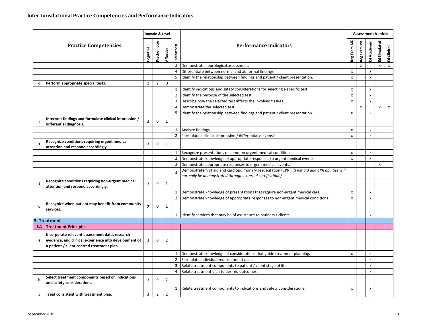|              |                                                                                                                                                       |                | Domain & Level |                |                           |                                                                                                  |                           |                    | <b>Assessment Vehicle</b> |              |                           |
|--------------|-------------------------------------------------------------------------------------------------------------------------------------------------------|----------------|----------------|----------------|---------------------------|--------------------------------------------------------------------------------------------------|---------------------------|--------------------|---------------------------|--------------|---------------------------|
|              | <b>Practice Competencies</b>                                                                                                                          | Cognitive      | Psychomotor    | Affective      | $\texttt{+}$<br>Indicator | <b>Performance Indicators</b>                                                                    | Reg Exam MC               | Reg Exam PR        | Ed Academic               | Ed Simulated | Clinical<br>$\bar{x}$     |
|              |                                                                                                                                                       |                |                |                | 3                         | Demonstrate neurological assessment.                                                             |                           | $\mathsf{x}$       |                           | x            | $\boldsymbol{\mathsf{x}}$ |
|              |                                                                                                                                                       |                |                |                | 4                         | Differentiate between normal and abnormal findings.                                              | X                         |                    | $\pmb{\times}$            |              |                           |
|              |                                                                                                                                                       |                |                |                | 5                         | Identify the relationship between findings and patient / client presentation.                    | X                         |                    | $\pmb{\times}$            |              |                           |
| q            | Perform appropriate special tests.                                                                                                                    | $\overline{2}$ | $\overline{2}$ | $\mathbf 0$    |                           |                                                                                                  |                           |                    |                           |              |                           |
|              |                                                                                                                                                       |                |                |                | $1\,$                     | Identify indications and safety considerations for selecting a specific test.                    | x                         |                    | X                         |              |                           |
|              |                                                                                                                                                       |                |                |                | $\overline{2}$            | Identify the purpose of the selected test.                                                       | $\boldsymbol{\mathsf{x}}$ |                    | $\pmb{\times}$            |              |                           |
|              |                                                                                                                                                       |                |                |                | 3                         | Describe how the selected test affects the involved tissues.                                     | X                         |                    | $\mathsf{x}$              |              |                           |
|              |                                                                                                                                                       |                |                |                | $\overline{4}$            | Demonstrate the selected test.                                                                   |                           | $\pmb{\mathsf{x}}$ |                           | x            |                           |
|              |                                                                                                                                                       |                |                |                | 5                         | Identify the relationship between findings and patient / client presentation.                    | $\boldsymbol{\mathsf{x}}$ |                    | $\pmb{\times}$            |              |                           |
| r,           | Interpret findings and formulate clinical impression /<br>differential diagnosis.                                                                     | 3              | $\mathbf 0$    | $\mathbf{1}$   |                           |                                                                                                  |                           |                    |                           |              |                           |
|              |                                                                                                                                                       |                |                |                | 1                         | Analyze findings.                                                                                | x                         |                    | $\pmb{\times}$            |              |                           |
|              |                                                                                                                                                       |                |                |                | $\overline{2}$            | Formulate a clinical impression / differential diagnosis.                                        | x                         |                    | x                         |              |                           |
| s            | Recognize conditions requiring urgent medical<br>attention and respond accordingly.                                                                   | 3              | $\mathbf 0$    | $\mathbf{1}$   |                           |                                                                                                  |                           |                    |                           |              |                           |
|              |                                                                                                                                                       |                |                |                | 1                         | Recognize presentations of common urgent medical conditions.                                     | X                         |                    | X                         |              |                           |
|              |                                                                                                                                                       |                |                |                | $\overline{2}$            | Demonstrate knowledge of appropriate responses to urgent medical events.                         | x                         |                    | $\pmb{\times}$            |              |                           |
|              |                                                                                                                                                       |                |                |                | 3                         | Demonstrate appropriate responses to urgent medical events.                                      |                           |                    |                           | x            |                           |
|              |                                                                                                                                                       |                |                |                | $\overline{4}$            | Demonstrate first aid and cardiopulmonary resuscitation (CPR). (First aid and CPR abilities will |                           |                    |                           |              |                           |
|              |                                                                                                                                                       |                |                |                |                           | normally be demonstrated through external certification.)                                        |                           |                    |                           |              |                           |
| t            | Recognize conditions requiring non-urgent medical<br>attention and respond accordingly.                                                               | $\overline{3}$ | 0              | $\mathbf{1}$   |                           |                                                                                                  |                           |                    |                           |              |                           |
|              |                                                                                                                                                       |                |                |                | $1\,$                     | Demonstrate knowledge of presentations that require non-urgent medical care.                     | x                         |                    | $\pmb{\times}$            |              |                           |
|              |                                                                                                                                                       |                |                |                | $\overline{2}$            | Demonstrate knowledge of appropriate responses to non-urgent medical conditions.                 | $\boldsymbol{\mathsf{x}}$ |                    | $\boldsymbol{\mathsf{x}}$ |              |                           |
| u            | Recognize when patient may benefit from community<br>services.                                                                                        | $\overline{2}$ | 0              | $\mathbf{1}$   |                           |                                                                                                  |                           |                    |                           |              |                           |
|              |                                                                                                                                                       |                |                |                |                           | 1 Identify services that may be of assistance to patients / clients.                             |                           |                    | X                         |              |                           |
|              | 3. Treatment                                                                                                                                          |                |                |                |                           |                                                                                                  |                           |                    |                           |              |                           |
|              | 3.1 Treatment Principles                                                                                                                              |                |                |                |                           |                                                                                                  |                           |                    |                           |              |                           |
| a            | Incorporate relevant assessment data, research<br>evidence, and clinical experience into development of<br>a patient / client centred treatment plan. | 3              | 0              | $\overline{2}$ |                           |                                                                                                  |                           |                    |                           |              |                           |
|              |                                                                                                                                                       |                |                |                | $\mathbf{1}$              | Demonstrate knowledge of considerations that guide treatment planning.                           | X                         |                    | X                         |              |                           |
|              |                                                                                                                                                       |                |                |                | 2                         | Formulate individualized treatment plan.                                                         |                           |                    | $\boldsymbol{\mathsf{x}}$ |              |                           |
|              |                                                                                                                                                       |                |                |                | 3                         | Relate treatment components to patient / client stage of life.                                   |                           |                    | $\boldsymbol{\mathsf{x}}$ |              |                           |
|              |                                                                                                                                                       |                |                |                | 4                         | Relate treatment plan to desired outcomes.                                                       |                           |                    | х                         |              |                           |
| b            | Select treatment components based on indications<br>and safety considerations.                                                                        | 3              | $\mathbf 0$    | $\overline{2}$ |                           |                                                                                                  |                           |                    |                           |              |                           |
|              |                                                                                                                                                       |                |                |                | $\mathbf{1}$              | Relate treatment components to indications and safety considerations.                            | X                         |                    | X                         |              |                           |
| $\mathbf{c}$ | Treat consistent with treatment plan.                                                                                                                 | 3              | $\overline{2}$ | $\overline{2}$ |                           |                                                                                                  |                           |                    |                           |              |                           |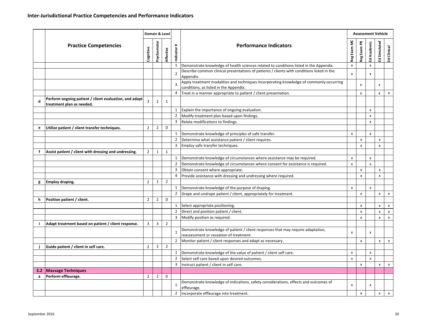|   |                                                                                     |                |                | Domain & Level |                        |                                                                                                                                   |                |                           | <b>Assessment Vehicle</b><br>Ed Academic<br>$\pmb{\times}$<br>x<br>$\pmb{\times}$<br>$\boldsymbol{\mathsf{x}}$<br>$\boldsymbol{\mathsf{x}}$<br>$\mathsf{x}$<br>X<br>$\pmb{\times}$<br>$\pmb{\times}$<br>x<br>$\pmb{\times}$<br>$\pmb{\times}$<br>х |              |               |
|---|-------------------------------------------------------------------------------------|----------------|----------------|----------------|------------------------|-----------------------------------------------------------------------------------------------------------------------------------|----------------|---------------------------|----------------------------------------------------------------------------------------------------------------------------------------------------------------------------------------------------------------------------------------------------|--------------|---------------|
|   | <b>Practice Competencies</b>                                                        | Cognitive      | Psychomotor    | Affective      | $\ddot{}$<br>Indicator | <b>Performance Indicators</b>                                                                                                     | Reg Exam MC    | Reg Exam PR               |                                                                                                                                                                                                                                                    | Ed Simulated | Clinical<br>훕 |
|   |                                                                                     |                |                |                | $\mathbf{1}$           | Demonstrate knowledge of health sciences related to conditions listed in the Appendix.                                            | $\pmb{\times}$ |                           |                                                                                                                                                                                                                                                    |              |               |
|   |                                                                                     |                |                |                | $\overline{2}$         | Describe common clinical presentations of patients / clients with conditions listed in the<br>Appendix.                           | X              |                           |                                                                                                                                                                                                                                                    |              |               |
|   |                                                                                     |                |                |                | 3                      | Apply treatment modalities and techniques incorporating knowledge of commonly-occurring<br>conditions, as listed in the Appendix. |                | X                         |                                                                                                                                                                                                                                                    | х            |               |
|   |                                                                                     |                |                |                | 4                      | Treat in a manner appropriate to patient / client presentation.                                                                   |                | $\boldsymbol{\mathsf{x}}$ |                                                                                                                                                                                                                                                    | x            | x             |
|   | Perform ongoing patient / client evaluation, and adapt<br>treatment plan as needed. | 3              | $\overline{2}$ | $\mathbf{1}$   |                        |                                                                                                                                   |                |                           |                                                                                                                                                                                                                                                    |              |               |
|   |                                                                                     |                |                |                | 1                      | Explain the importance of ongoing evaluation.                                                                                     |                |                           |                                                                                                                                                                                                                                                    |              |               |
|   |                                                                                     |                |                |                | $\overline{2}$         | Modify treatment plan based upon findings.                                                                                        |                |                           |                                                                                                                                                                                                                                                    |              |               |
|   |                                                                                     |                |                |                | 3                      | Relate modifications to findings.                                                                                                 |                |                           |                                                                                                                                                                                                                                                    |              |               |
| e | Utilize patient / client transfer techniques.                                       | $\overline{2}$ | $\overline{2}$ | $\mathbf 0$    |                        |                                                                                                                                   |                |                           |                                                                                                                                                                                                                                                    |              |               |
|   |                                                                                     |                |                |                | 1                      | Demonstrate knowledge of principles of safe transfer.                                                                             | X              |                           |                                                                                                                                                                                                                                                    |              |               |
|   |                                                                                     |                |                |                | $\overline{2}$         | Determine what assistance patient / client requires.                                                                              |                | X                         |                                                                                                                                                                                                                                                    | x            |               |
|   |                                                                                     |                |                |                | 3                      | Employ safe transfer techniques.                                                                                                  |                | X                         |                                                                                                                                                                                                                                                    | X            |               |
| f | Assist patient / client with dressing and undressing.                               | $\overline{2}$ | $\mathbf{1}$   | $\mathbf{1}$   |                        |                                                                                                                                   |                |                           |                                                                                                                                                                                                                                                    |              |               |
|   |                                                                                     |                |                |                | $\mathbf{1}$           | Demonstrate knowledge of circumstances where assistance may be required.                                                          | x              |                           |                                                                                                                                                                                                                                                    |              |               |
|   |                                                                                     |                |                |                | $\overline{2}$         | Demonstrate knowledge of circumstances where consent for assistance is required.                                                  | X              |                           |                                                                                                                                                                                                                                                    |              |               |
|   |                                                                                     |                |                |                | 3                      | Obtain consent where appropriate.                                                                                                 |                | X                         |                                                                                                                                                                                                                                                    | x            |               |
|   |                                                                                     |                |                |                | 4                      | Provide assistance with dressing and undressing where required.                                                                   |                | x                         |                                                                                                                                                                                                                                                    | x            |               |
| g | <b>Employ draping.</b>                                                              | $\overline{2}$ | $\mathbf{1}$   | $\overline{2}$ |                        |                                                                                                                                   |                |                           |                                                                                                                                                                                                                                                    |              |               |
|   |                                                                                     |                |                |                | 1                      | Demonstrate knowledge of the purpose of draping.                                                                                  | X              |                           |                                                                                                                                                                                                                                                    |              |               |
|   |                                                                                     |                |                |                | $\overline{2}$         | Drape and undrape patient / client, appropriately for treatment.                                                                  |                | $\pmb{\chi}$              |                                                                                                                                                                                                                                                    | x            |               |
| h | Position patient / client.                                                          | $\overline{2}$ | $\overline{2}$ | $\mathbf 0$    |                        |                                                                                                                                   |                |                           |                                                                                                                                                                                                                                                    |              |               |
|   |                                                                                     |                |                |                | $\mathbf{1}$           | Select appropriate positioning.                                                                                                   |                | x                         |                                                                                                                                                                                                                                                    | x            |               |
|   |                                                                                     |                |                |                | $\overline{2}$         | Direct and position patient / client.                                                                                             |                | X                         |                                                                                                                                                                                                                                                    | X            |               |
|   |                                                                                     |                |                |                | 3                      | Modify position as required.                                                                                                      |                | x                         |                                                                                                                                                                                                                                                    | x            |               |
|   | Adapt treatment based on patient / client response.                                 | 3              | 3              | $\overline{2}$ |                        |                                                                                                                                   |                |                           |                                                                                                                                                                                                                                                    |              |               |
|   |                                                                                     |                |                |                |                        | Demonstrate knowledge of patient / client responses that may require adaptation,                                                  |                |                           |                                                                                                                                                                                                                                                    |              |               |
|   |                                                                                     |                |                |                | $\mathbf{1}$           | reassessment or cessation of treatment.                                                                                           | X              |                           |                                                                                                                                                                                                                                                    |              |               |
|   |                                                                                     |                |                |                | $\overline{2}$         | Monitor patient / client responses and adapt as necessary.                                                                        |                | $\pmb{\chi}$              |                                                                                                                                                                                                                                                    | X            |               |
|   | Guide patient / client in self care.                                                | $\overline{2}$ | $\overline{2}$ | $\overline{2}$ |                        |                                                                                                                                   |                |                           |                                                                                                                                                                                                                                                    |              |               |
|   |                                                                                     |                |                |                | $\mathbf{1}$           | Demonstrate knowledge of the value of patient / client self care.                                                                 | x              |                           |                                                                                                                                                                                                                                                    |              |               |
|   |                                                                                     |                |                |                | $\overline{2}$         | Select self care based upon desired outcomes.                                                                                     | $\pmb{\times}$ |                           |                                                                                                                                                                                                                                                    |              |               |
|   |                                                                                     |                |                |                | 3                      | Instruct patient / client in self care.                                                                                           |                | X                         |                                                                                                                                                                                                                                                    | x            |               |
|   | 3.2 Massage Techniques                                                              |                |                |                |                        |                                                                                                                                   |                |                           |                                                                                                                                                                                                                                                    |              |               |
| a | Perform effleurage.                                                                 | $\overline{2}$ | $\overline{2}$ | 0              |                        |                                                                                                                                   |                |                           |                                                                                                                                                                                                                                                    |              |               |
|   |                                                                                     |                |                |                | $\mathbf 1$            | Demonstrate knowledge of indications, safety considerations, effects and outcomes of<br>effleurage.                               | X              |                           |                                                                                                                                                                                                                                                    |              |               |
|   |                                                                                     |                |                |                | $\overline{2}$         | Incorporate effleurage into treatment.                                                                                            |                | x                         |                                                                                                                                                                                                                                                    | x            |               |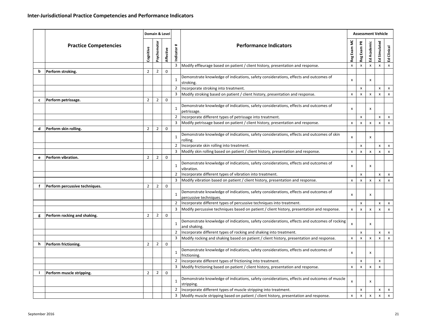|   |                                |                |                | Domain & Level |                |                                                                                                                |                           |                    | <b>Assessment Vehicle</b> |                           |               |
|---|--------------------------------|----------------|----------------|----------------|----------------|----------------------------------------------------------------------------------------------------------------|---------------------------|--------------------|---------------------------|---------------------------|---------------|
|   | <b>Practice Competencies</b>   | Cognitive      | Psychomotor    | Affective      | #<br>Indicator | <b>Performance Indicators</b>                                                                                  | Reg Exam MC               | Reg Exam PR        | Ed Academic               | Simulated<br>狠            | Clinical<br>운 |
|   |                                |                |                |                | 3              | Modify effleurage based on patient / client history, presentation and response.                                | $\pmb{\mathsf{X}}$        | x                  | $\pmb{\times}$            | x                         | x             |
| b | Perform stroking.              | $\overline{2}$ | $\overline{2}$ | 0              |                |                                                                                                                |                           |                    |                           |                           |               |
|   |                                |                |                |                | $\mathbf{1}$   | Demonstrate knowledge of indications, safety considerations, effects and outcomes of<br>stroking.              | X                         |                    | x                         |                           |               |
|   |                                |                |                |                | $\overline{2}$ | Incorporate stroking into treatment.                                                                           |                           | x                  |                           | x                         |               |
|   |                                |                |                |                | 3              | Modify stroking based on patient / client history, presentation and response.                                  | X                         | x                  | X                         | X                         |               |
| c | Perform petrissage.            | $\overline{2}$ | $\overline{2}$ | 0              |                |                                                                                                                |                           |                    |                           |                           |               |
|   |                                |                |                |                | $\mathbf{1}$   | Demonstrate knowledge of indications, safety considerations, effects and outcomes of<br>petrissage.            | X                         |                    | x                         |                           |               |
|   |                                |                |                |                | 2              | Incorporate different types of petrissage into treatment.                                                      |                           | x                  |                           | x                         |               |
|   |                                |                |                |                | 3              | Modify petrissage based on patient / client history, presentation and response.                                | X                         | $\pmb{\mathsf{X}}$ | $\pmb{\times}$            | $\boldsymbol{\mathsf{x}}$ |               |
| d | Perform skin rolling.          | $\overline{2}$ | $\overline{2}$ | 0              |                |                                                                                                                |                           |                    |                           |                           |               |
|   |                                |                |                |                | $1\,$          | Demonstrate knowledge of indications, safety considerations, effects and outcomes of skin<br>rolling.          | X                         |                    | x                         |                           |               |
|   |                                |                |                |                | $\overline{2}$ | Incorporate skin rolling into treatment.                                                                       |                           | x                  |                           | x                         |               |
|   |                                |                |                |                | 3              | Modify skin rolling based on patient / client history, presentation and response.                              | X                         | x                  | x                         | x                         |               |
| e | Perform vibration.             | $\overline{2}$ | $\overline{2}$ | $\mathbf 0$    |                |                                                                                                                |                           |                    |                           |                           |               |
|   |                                |                |                |                | $\mathbf{1}$   | Demonstrate knowledge of indications, safety considerations, effects and outcomes of<br>vibration.             | X                         |                    | x                         |                           |               |
|   |                                |                |                |                | $\overline{2}$ | Incorporate different types of vibration into treatment.                                                       |                           | x                  |                           | x                         |               |
|   |                                |                |                |                | 3              | Modify vibration based on patient / client history, presentation and response.                                 | X                         | x                  | x                         | x                         |               |
| f | Perform percussive techniques. | $\overline{2}$ | $\overline{2}$ | $\mathbf 0$    |                |                                                                                                                |                           |                    |                           |                           |               |
|   |                                |                |                |                | $\mathbf{1}$   | Demonstrate knowledge of indications, safety considerations, effects and outcomes of<br>percussive techniques. | X                         |                    | x                         |                           |               |
|   |                                |                |                |                | $\overline{2}$ | Incorporate different types of percussive techniques into treatment.                                           |                           | x                  |                           | x                         |               |
|   |                                |                |                |                | 3              | Modify percussive techniques based on patient / client history, presentation and response.                     | $\pmb{\times}$            | X                  | x                         | X                         |               |
| g | Perform rocking and shaking.   | $\overline{2}$ | $\overline{2}$ | $\mathbf 0$    |                |                                                                                                                |                           |                    |                           |                           |               |
|   |                                |                |                |                | $\mathbf{1}$   | Demonstrate knowledge of indications, safety considerations, effects and outcomes of rocking<br>and shaking.   | $\boldsymbol{\mathsf{x}}$ |                    | X                         |                           |               |
|   |                                |                |                |                | $\overline{2}$ | Incorporate different types of rocking and shaking into treatment.                                             |                           | x                  |                           | x                         |               |
|   |                                |                |                |                | 3              | Modify rocking and shaking based on patient / client history, presentation and response.                       | X                         | x                  | x                         | х                         |               |
| h | Perform frictioning.           | $\overline{2}$ | $\overline{2}$ | $\mathbf 0$    |                |                                                                                                                |                           |                    |                           |                           |               |
|   |                                |                |                |                | $1\,$          | Demonstrate knowledge of indications, safety considerations, effects and outcomes of<br>frictioning.           | X                         |                    | x                         |                           |               |
|   |                                |                |                |                | 2              | Incorporate different types of frictioning into treatment.                                                     |                           | x                  |                           | x                         |               |
|   |                                |                |                |                |                | 3 Modify frictioning based on patient / client history, presentation and response.                             | X                         | $\pmb{\mathsf{X}}$ | X                         | X                         |               |
|   | Perform muscle stripping.      | $\overline{2}$ | $\overline{2}$ | 0              |                |                                                                                                                |                           |                    |                           |                           |               |
|   |                                |                |                |                | $\mathbf{1}$   | Demonstrate knowledge of indications, safety considerations, effects and outcomes of muscle<br>stripping.      | X                         |                    | X                         |                           |               |
|   |                                |                |                |                | 2              | Incorporate different types of muscle stripping into treatment.                                                |                           | x                  |                           | x                         |               |
|   |                                |                |                |                | 3              | Modify muscle stripping based on patient / client history, presentation and response.                          | X                         | X                  | X                         | X                         |               |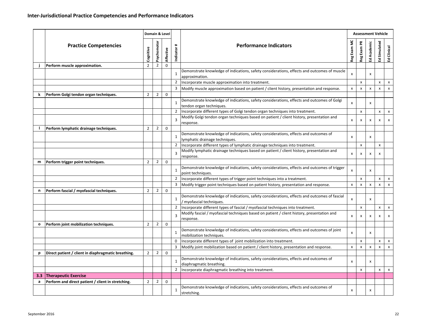|     |                                                     |                |                | Domain & Level |                |                                                                                                                          | <b>Assessment Vehicle</b> |                    |                    |              |                           |
|-----|-----------------------------------------------------|----------------|----------------|----------------|----------------|--------------------------------------------------------------------------------------------------------------------------|---------------------------|--------------------|--------------------|--------------|---------------------------|
|     | <b>Practice Competencies</b>                        | Cognitive      | Psychomotor    | Affective      | #<br>Indicator | <b>Performance Indicators</b>                                                                                            | Reg Exam MC               | Reg Exam PR        | Ed Academic        | Ed Simulated | Clinical<br>훕             |
|     | Perform muscle approximation.                       | $\overline{2}$ | $\overline{2}$ | $\mathbf 0$    |                |                                                                                                                          |                           |                    |                    |              |                           |
|     |                                                     |                |                |                | $\mathbf{1}$   | Demonstrate knowledge of indications, safety considerations, effects and outcomes of muscle<br>approximation.            | X                         |                    | х                  |              |                           |
|     |                                                     |                |                |                | 2              | Incorporate muscle approximation into treatment.                                                                         |                           | $\pmb{\mathsf{x}}$ |                    | X            | $\pmb{\times}$            |
|     |                                                     |                |                |                | 3              | Modify muscle approximation based on patient / client history, presentation and response.                                | X                         | x                  | $\mathsf{x}$       | X            | $\pmb{\chi}$              |
| k   | Perform Golgi tendon organ techniques.              | $\overline{2}$ | $\overline{2}$ | 0              |                |                                                                                                                          |                           |                    |                    |              |                           |
|     |                                                     |                |                |                | $\mathbf{1}$   | Demonstrate knowledge of indications, safety considerations, effects and outcomes of Golgi<br>tendon organ techniques.   | X                         |                    | x                  |              |                           |
|     |                                                     |                |                |                | 2              | Incorporate different types of Golgi tendon organ techniques into treatment.                                             |                           | $\pmb{\mathsf{x}}$ |                    | x            | x                         |
|     |                                                     |                |                |                | 3              | Modify Golgi tendon organ techniques based on patient / client history, presentation and<br>response.                    | x                         | x                  | х                  | х            | х                         |
|     | Perform lymphatic drainage techniques.              | $\overline{2}$ | $\overline{2}$ | 0              |                |                                                                                                                          |                           |                    |                    |              |                           |
|     |                                                     |                |                |                | $\mathbf{1}$   | Demonstrate knowledge of indications, safety considerations, effects and outcomes of<br>lymphatic drainage techniques.   | x                         |                    | x                  |              |                           |
|     |                                                     |                |                |                | $\overline{2}$ | Incorporate different types of lymphatic drainage techniques into treatment.                                             |                           | x                  |                    | X            |                           |
|     |                                                     |                |                |                | 3              | Modify lymphatic drainage techniques based on patient / client history, presentation and<br>response.                    | x                         | x                  | x                  | х            |                           |
| m   | Perform trigger point techniques.                   | $\overline{2}$ | $\overline{2}$ | 0              |                |                                                                                                                          |                           |                    |                    |              |                           |
|     |                                                     |                |                |                | $\mathbf{1}$   | Demonstrate knowledge of indications, safety considerations, effects and outcomes of trigger<br>point techniques.        | $\pmb{\times}$            |                    | x                  |              |                           |
|     |                                                     |                |                |                | 2              | Incorporate different types of trigger point techniques into a treatment.                                                |                           | x                  |                    | x            | x                         |
|     |                                                     |                |                |                | 3              | Modify trigger point techniques based on patient history, presentation and response.                                     | x                         | x                  | x                  | X            | X                         |
| n   | Perform fascial / myofascial techniques.            | $\overline{2}$ | 2              | 0              |                |                                                                                                                          |                           |                    |                    |              |                           |
|     |                                                     |                |                |                | $\mathbf{1}$   | Demonstrate knowledge of indications, safety considerations, effects and outcomes of fascial<br>' myofascial techniques. | $\boldsymbol{\mathsf{x}}$ |                    | x                  |              |                           |
|     |                                                     |                |                |                | $\overline{2}$ | Incorporate different types of fascial / myofascial techniques into treatment.                                           |                           | x                  |                    | x            | X                         |
|     |                                                     |                |                |                | 3              | Modify fascial / myofascial techniques based on patient / client history, presentation and<br>response.                  | x                         | x                  | x                  | х            | x                         |
| 0   | Perform joint mobilization techniques.              | $\overline{2}$ | $\overline{2}$ | $\mathbf 0$    |                |                                                                                                                          |                           |                    |                    |              |                           |
|     |                                                     |                |                |                | $\mathbf{1}$   | Demonstrate knowledge of indications, safety considerations, effects and outcomes of joint<br>mobilization techniques.   | X                         |                    | x                  |              |                           |
|     |                                                     |                |                |                | $\mathbf 0$    | Incorporate different types of joint mobilization into treatment.                                                        |                           | x                  |                    | x            | x                         |
|     |                                                     |                |                |                | 3              | Modify joint mobilization based on patient / client history, presentation and response.                                  | X                         | $\pmb{\times}$     | $\pmb{\mathsf{x}}$ | X            | $\boldsymbol{\mathsf{x}}$ |
| р   | Direct patient / client in diaphragmatic breathing. | $\overline{2}$ | $\overline{2}$ | 0              | $\mathbf{1}$   | Demonstrate knowledge of indications, safety considerations, effects and outcomes of                                     | x                         |                    | х                  |              |                           |
|     |                                                     |                |                |                | $\overline{2}$ | diaphragmatic breathing.                                                                                                 |                           |                    |                    |              |                           |
| 3.3 | <b>Therapeutic Exercise</b>                         |                |                |                |                | Incorporate diaphragmatic breathing into treatment.                                                                      |                           | $\pmb{\times}$     |                    | X            | $\pmb{\mathsf{X}}$        |
| a   | Perform and direct patient / client in stretching.  | $\overline{2}$ | $\overline{2}$ | 0              |                |                                                                                                                          |                           |                    |                    |              |                           |
|     |                                                     |                |                |                | $\mathbf{1}$   | Demonstrate knowledge of indications, safety considerations, effects and outcomes of<br>stretching.                      | x                         |                    | х                  |              |                           |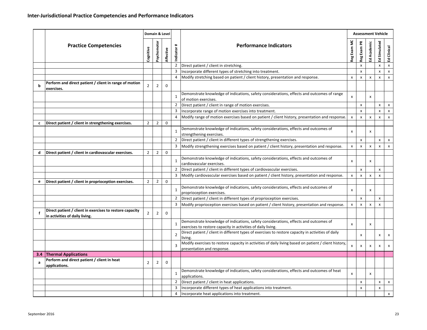|              |                                                                                            |                |                | Domain & Level |                        |                                                                                                                                                      |                | <b>Assessment Vehicle</b> |              |                    |               |
|--------------|--------------------------------------------------------------------------------------------|----------------|----------------|----------------|------------------------|------------------------------------------------------------------------------------------------------------------------------------------------------|----------------|---------------------------|--------------|--------------------|---------------|
|              | <b>Practice Competencies</b>                                                               | Cognitive      | Psychomotor    | Affective      | $\ddot{}$<br>Indicator | <b>Performance Indicators</b>                                                                                                                        | Reg Exam MC    | Reg Exam PR               | Ed Academic  | Ed Simulated       | Clinical<br>ヱ |
|              |                                                                                            |                |                |                | $\overline{2}$         | Direct patient / client in stretching.                                                                                                               |                | $\pmb{\mathsf{X}}$        |              | x                  | X             |
|              |                                                                                            |                |                |                | 3                      | Incorporate different types of stretching into treatment.                                                                                            |                | x                         |              | x                  |               |
|              |                                                                                            |                |                |                | 4                      | Modify stretching based on patient / client history, presentation and response.                                                                      | X              | X                         | x            | $\pmb{\times}$     |               |
| b            | Perform and direct patient / client in range of motion<br>exercises.                       | $\overline{2}$ | $\overline{2}$ | $\Omega$       |                        |                                                                                                                                                      |                |                           |              |                    |               |
|              |                                                                                            |                |                |                | $\mathbf{1}$           | Demonstrate knowledge of indications, safety considerations, effects and outcomes of range<br>of motion exercises.                                   | X              |                           | X            |                    |               |
|              |                                                                                            |                |                |                | 2                      | Direct patient / client in range of motion exercises.                                                                                                |                | x                         |              | x                  |               |
|              |                                                                                            |                |                |                | 3                      | Incorporate range of motion exercises into treatment.                                                                                                |                | $\pmb{\times}$            |              | $\pmb{\mathsf{x}}$ |               |
|              |                                                                                            |                |                |                | 4                      | Modify range of motion exercises based on patient / client history, presentation and response.                                                       | $\pmb{\chi}$   | X                         | $\mathsf{x}$ | X                  |               |
| $\mathbf{c}$ | Direct patient / client in strengthening exercises.                                        | $\overline{2}$ | $\overline{2}$ | $\mathbf 0$    | $\mathbf{1}$           | Demonstrate knowledge of indications, safety considerations, effects and outcomes of<br>strengthening exercises.                                     | X              |                           | x            |                    |               |
|              |                                                                                            |                |                |                | $\overline{2}$         | Direct patient / client in different types of strengthening exercises.                                                                               |                | $\pmb{\mathsf{x}}$        |              | x                  |               |
|              |                                                                                            |                |                |                | 3                      | Modify strengthening exercises based on patient / client history, presentation and response.                                                         | X              | $\pmb{\mathsf{x}}$        | $\mathsf{x}$ | X                  |               |
| d            | Direct patient / client in cardiovascular exercises.                                       | $\overline{2}$ | $\overline{2}$ | 0              |                        |                                                                                                                                                      |                |                           |              |                    |               |
|              |                                                                                            |                |                |                | $\mathbf{1}$           | Demonstrate knowledge of indications, safety considerations, effects and outcomes of<br>cardiovascular exercises.                                    | X              |                           | x            |                    |               |
|              |                                                                                            |                |                |                | $\overline{2}$         | Direct patient / client in different types of cardiovascular exercises.                                                                              |                | $\pmb{\times}$            |              | x                  |               |
|              |                                                                                            |                |                |                | 3                      | Modify cardiovascular exercises based on patient / client history, presentation and response.                                                        | X              | X                         | $\mathsf{x}$ | $\mathsf{x}$       |               |
| e            | Direct patient / client in proprioception exercises.                                       | $\overline{2}$ | $\overline{2}$ | $\mathbf{0}$   |                        |                                                                                                                                                      |                |                           |              |                    |               |
|              |                                                                                            |                |                |                | $\mathbf{1}$           | Demonstrate knowledge of indications, safety considerations, effects and outcomes of<br>proprioception exercises.                                    | x              |                           | x            |                    |               |
|              |                                                                                            |                |                |                | $\overline{2}$         | Direct patient / client in different types of proprioception exercises.                                                                              |                | $\pmb{\mathsf{x}}$        |              | x                  |               |
|              |                                                                                            |                |                |                | 3                      | Modify proprioception exercises based on patient / client history, presentation and response.                                                        | X              | x                         | $\mathsf{x}$ | $\mathsf{x}$       |               |
|              | Direct patient / client in exercises to restore capacity<br>in activities of daily living. | $\overline{2}$ | $\overline{2}$ | $\mathbf 0$    |                        |                                                                                                                                                      |                |                           |              |                    |               |
|              |                                                                                            |                |                |                | $\mathbf{1}$           | Demonstrate knowledge of indications, safety considerations, effects and outcomes of<br>exercises to restore capacity in activities of daily living. | X              |                           | x            |                    |               |
|              |                                                                                            |                |                |                | $\overline{2}$         | Direct patient / client in different types of exercises to restore capacity in activities of daily<br>living.                                        |                | x                         |              | x                  |               |
|              |                                                                                            |                |                |                | 3                      | Modify exercises to restore capacity in activities of daily living based on patient / client history,<br>presentation and response.                  | $\pmb{\times}$ | X                         | х            | x                  |               |
|              | 3.4 Thermal Applications                                                                   |                |                |                |                        |                                                                                                                                                      |                |                           |              |                    |               |
|              | Perform and direct patient / client in heat<br>applications.                               | 2              | 2              | 0              |                        |                                                                                                                                                      |                |                           |              |                    |               |
|              |                                                                                            |                |                |                |                        | Demonstrate knowledge of indications, safety considerations, effects and outcomes of heat<br>applications.                                           | X              |                           | X            |                    |               |
|              |                                                                                            |                |                |                | $\overline{2}$         | Direct patient / client in heat applications.                                                                                                        |                | x                         |              | x                  |               |
|              |                                                                                            |                |                |                | 3                      | Incorporate different types of heat applications into treatment.                                                                                     |                | x                         |              | x                  |               |
|              |                                                                                            |                |                |                | 4                      | Incorporate heat applications into treatment.                                                                                                        |                |                           |              |                    |               |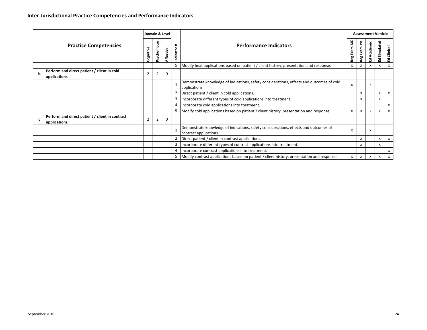|             | <b>Practice Competencies</b>                                     |                | Domain & Level |             |                |                                                                                                            |                    | <b>Assessment Vehicle</b> |                    |                    |                    |  |
|-------------|------------------------------------------------------------------|----------------|----------------|-------------|----------------|------------------------------------------------------------------------------------------------------------|--------------------|---------------------------|--------------------|--------------------|--------------------|--|
|             |                                                                  | Cognitive      | Psychomotor    | Affective   | Indicator #    | <b>Performance Indicators</b>                                                                              | Reg Exam MC        | Reg Exam PR               | Ed Academic        | Ed Simulated       | Ed Clinical        |  |
|             |                                                                  |                |                |             | $\overline{5}$ | Modify heat applications based on patient / client history, presentation and response.                     | $\pmb{\mathsf{x}}$ | $\pmb{\mathsf{x}}$        | $\pmb{\mathsf{x}}$ | $\mathbf{x}$       | $\pmb{\mathsf{X}}$ |  |
| b           | Perform and direct patient / client in cold<br>applications.     | $\overline{2}$ | $\overline{2}$ | $\mathsf 0$ |                |                                                                                                            |                    |                           |                    |                    |                    |  |
|             |                                                                  |                |                |             | $1\,$          | Demonstrate knowledge of indications, safety considerations, effects and outcomes of cold<br>applications. | X                  |                           | x                  |                    |                    |  |
|             |                                                                  |                |                |             | $\overline{2}$ | Direct patient / client in cold applications.                                                              |                    | $\pmb{\mathsf{x}}$        |                    | $\pmb{\mathsf{x}}$ |                    |  |
|             |                                                                  |                |                |             | 3              | Incorporate different types of cold applications into treatment.                                           |                    | x                         |                    | $\pmb{\mathsf{x}}$ |                    |  |
|             |                                                                  |                |                |             | 4              | Incorporate cold applications into treatment.                                                              |                    |                           |                    |                    |                    |  |
|             |                                                                  |                |                |             | 5              | Modify cold applications based on patient / client history, presentation and response.                     | X                  | x                         | X                  | X                  |                    |  |
| $\mathbf c$ | Perform and direct patient / client in contrast<br>applications. | $\overline{2}$ | $\overline{2}$ | $\mathbf 0$ |                |                                                                                                            |                    |                           |                    |                    |                    |  |
|             |                                                                  |                |                |             | $\mathbf 1$    | Demonstrate knowledge of indications, safety considerations, effects and outcomes of                       | X                  |                           | x                  |                    |                    |  |
|             |                                                                  |                |                |             |                | contrast applications.                                                                                     |                    |                           |                    |                    |                    |  |
|             |                                                                  |                |                |             | $\overline{2}$ | Direct patient / client in contrast applications.                                                          |                    | x                         |                    | x                  |                    |  |
|             |                                                                  |                |                |             | 3              | Incorporate different types of contrast applications into treatment.                                       |                    | $\pmb{\times}$            |                    | $\pmb{\mathsf{x}}$ |                    |  |
|             |                                                                  |                |                |             | 4              | Incorporate contrast applications into treatment.                                                          |                    |                           |                    |                    |                    |  |
|             |                                                                  |                |                |             | 5              | Modify contrast applications based on patient / client history, presentation and response.                 | $\pmb{\mathsf{X}}$ | $\pmb{\mathsf{x}}$        | X                  | $\pmb{\mathsf{x}}$ |                    |  |
|             |                                                                  |                |                |             |                |                                                                                                            |                    |                           |                    |                    |                    |  |
|             |                                                                  |                |                |             |                |                                                                                                            |                    |                           |                    |                    | $\mathsf{x}$       |  |
|             |                                                                  |                |                |             |                |                                                                                                            |                    |                           |                    |                    |                    |  |
|             |                                                                  |                |                |             |                |                                                                                                            |                    |                           |                    |                    |                    |  |
|             |                                                                  |                |                |             |                |                                                                                                            |                    |                           |                    |                    |                    |  |
|             |                                                                  |                |                |             |                |                                                                                                            |                    |                           |                    |                    |                    |  |
|             |                                                                  |                |                |             |                |                                                                                                            |                    |                           |                    |                    |                    |  |
|             |                                                                  |                |                |             |                |                                                                                                            |                    |                           |                    |                    |                    |  |
|             |                                                                  |                |                |             |                |                                                                                                            |                    |                           |                    |                    |                    |  |
|             |                                                                  |                |                |             |                |                                                                                                            |                    |                           |                    |                    |                    |  |
|             |                                                                  |                |                |             |                |                                                                                                            |                    |                           |                    |                    |                    |  |